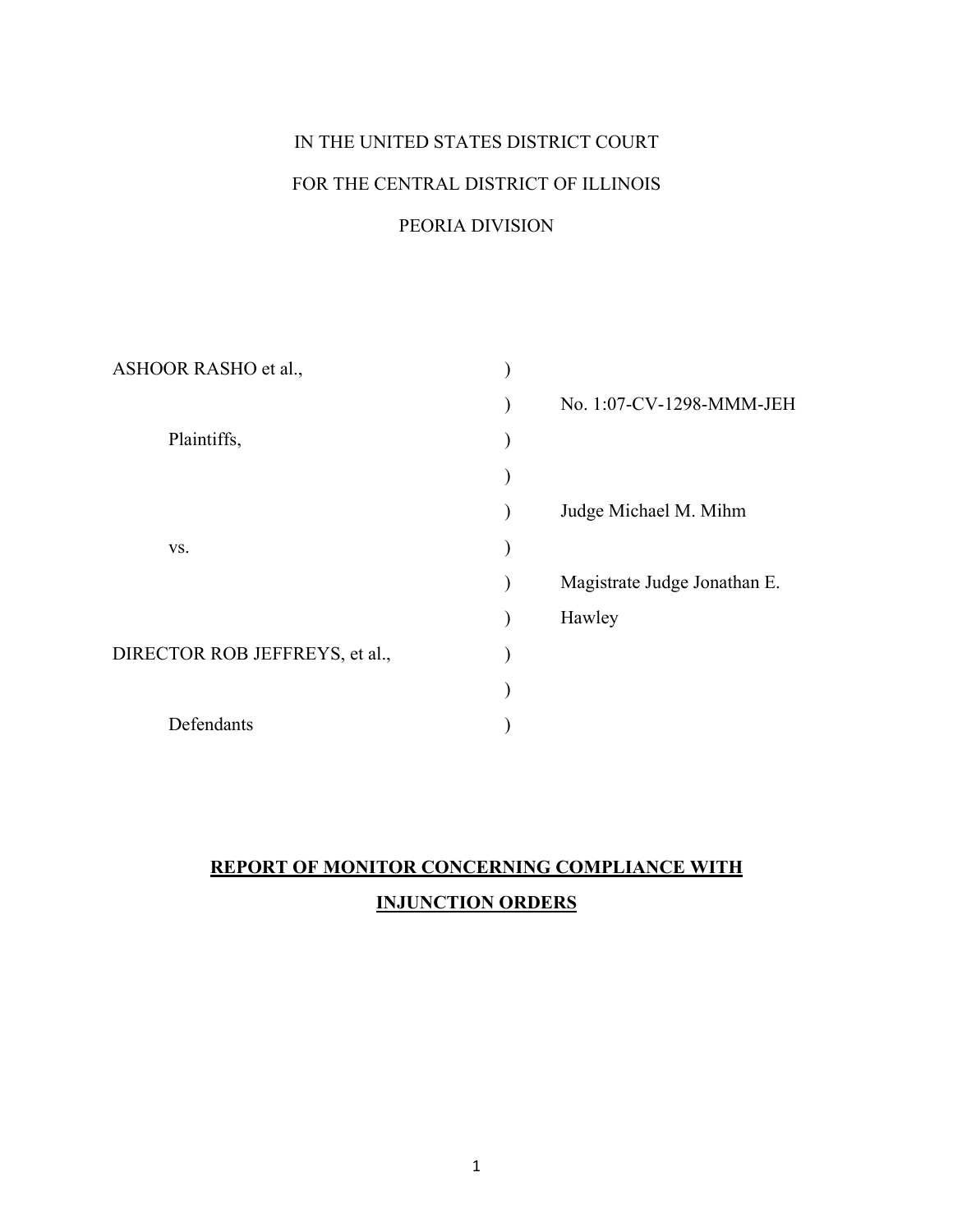# IN THE UNITED STATES DISTRICT COURT FOR THE CENTRAL DISTRICT OF ILLINOIS

# PEORIA DIVISION

| No. 1:07-CV-1298-MMM-JEH     |
|------------------------------|
|                              |
|                              |
| Judge Michael M. Mihm        |
|                              |
| Magistrate Judge Jonathan E. |
| Hawley                       |
|                              |
|                              |
|                              |
|                              |

# **REPORT OF MONITOR CONCERNING COMPLIANCE WITH INJUNCTION ORDERS**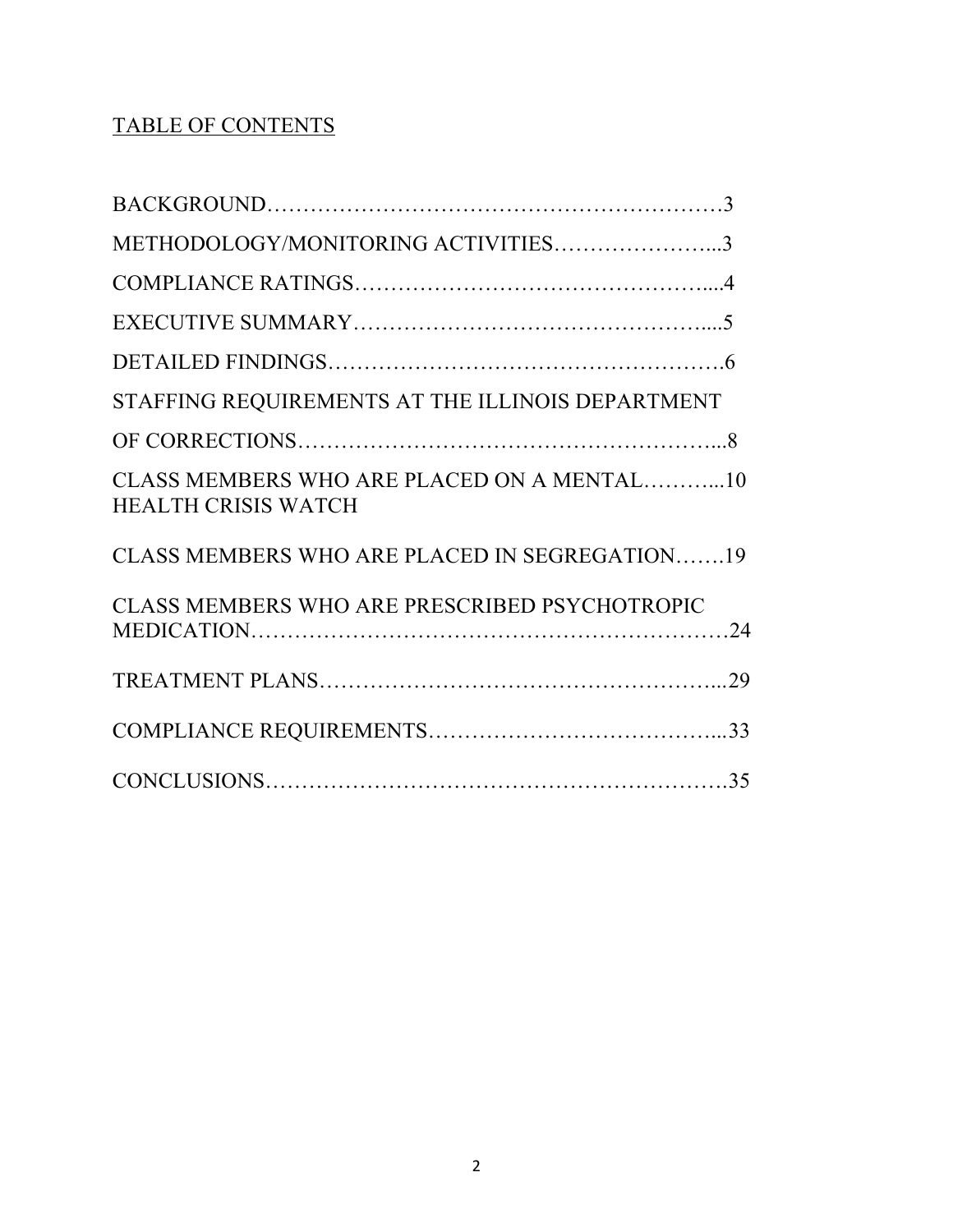# TABLE OF CONTENTS

| METHODOLOGY/MONITORING ACTIVITIES3                                       |  |
|--------------------------------------------------------------------------|--|
|                                                                          |  |
|                                                                          |  |
|                                                                          |  |
| STAFFING REQUIREMENTS AT THE ILLINOIS DEPARTMENT                         |  |
|                                                                          |  |
| CLASS MEMBERS WHO ARE PLACED ON A MENTAL10<br><b>HEALTH CRISIS WATCH</b> |  |
| CLASS MEMBERS WHO ARE PLACED IN SEGREGATION19                            |  |
| CLASS MEMBERS WHO ARE PRESCRIBED PSYCHOTROPIC                            |  |
|                                                                          |  |
|                                                                          |  |
|                                                                          |  |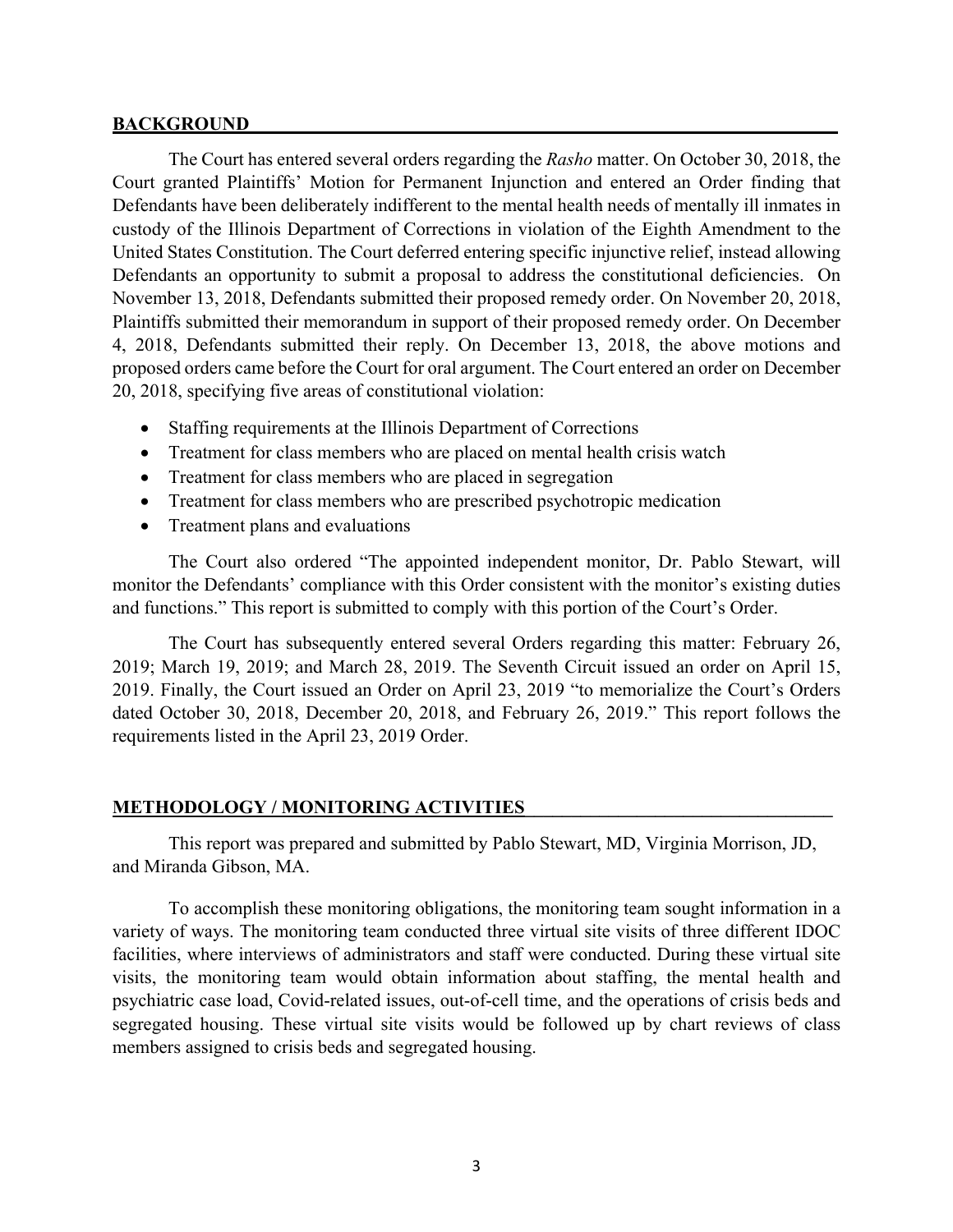#### **BACKGROUND**

The Court has entered several orders regarding the *Rasho* matter. On October 30, 2018, the Court granted Plaintiffs' Motion for Permanent Injunction and entered an Order finding that Defendants have been deliberately indifferent to the mental health needs of mentally ill inmates in custody of the Illinois Department of Corrections in violation of the Eighth Amendment to the United States Constitution. The Court deferred entering specific injunctive relief, instead allowing Defendants an opportunity to submit a proposal to address the constitutional deficiencies. On November 13, 2018, Defendants submitted their proposed remedy order. On November 20, 2018, Plaintiffs submitted their memorandum in support of their proposed remedy order. On December 4, 2018, Defendants submitted their reply. On December 13, 2018, the above motions and proposed orders came before the Court for oral argument. The Court entered an order on December 20, 2018, specifying five areas of constitutional violation:

- Staffing requirements at the Illinois Department of Corrections
- Treatment for class members who are placed on mental health crisis watch
- Treatment for class members who are placed in segregation
- Treatment for class members who are prescribed psychotropic medication
- Treatment plans and evaluations

The Court also ordered "The appointed independent monitor, Dr. Pablo Stewart, will monitor the Defendants' compliance with this Order consistent with the monitor's existing duties and functions." This report is submitted to comply with this portion of the Court's Order.

The Court has subsequently entered several Orders regarding this matter: February 26, 2019; March 19, 2019; and March 28, 2019. The Seventh Circuit issued an order on April 15, 2019. Finally, the Court issued an Order on April 23, 2019 "to memorialize the Court's Orders dated October 30, 2018, December 20, 2018, and February 26, 2019." This report follows the requirements listed in the April 23, 2019 Order.

#### **METHODOLOGY / MONITORING ACTIVITIES**

This report was prepared and submitted by Pablo Stewart, MD, Virginia Morrison, JD, and Miranda Gibson, MA.

To accomplish these monitoring obligations, the monitoring team sought information in a variety of ways. The monitoring team conducted three virtual site visits of three different IDOC facilities, where interviews of administrators and staff were conducted. During these virtual site visits, the monitoring team would obtain information about staffing, the mental health and psychiatric case load, Covid-related issues, out-of-cell time, and the operations of crisis beds and segregated housing. These virtual site visits would be followed up by chart reviews of class members assigned to crisis beds and segregated housing.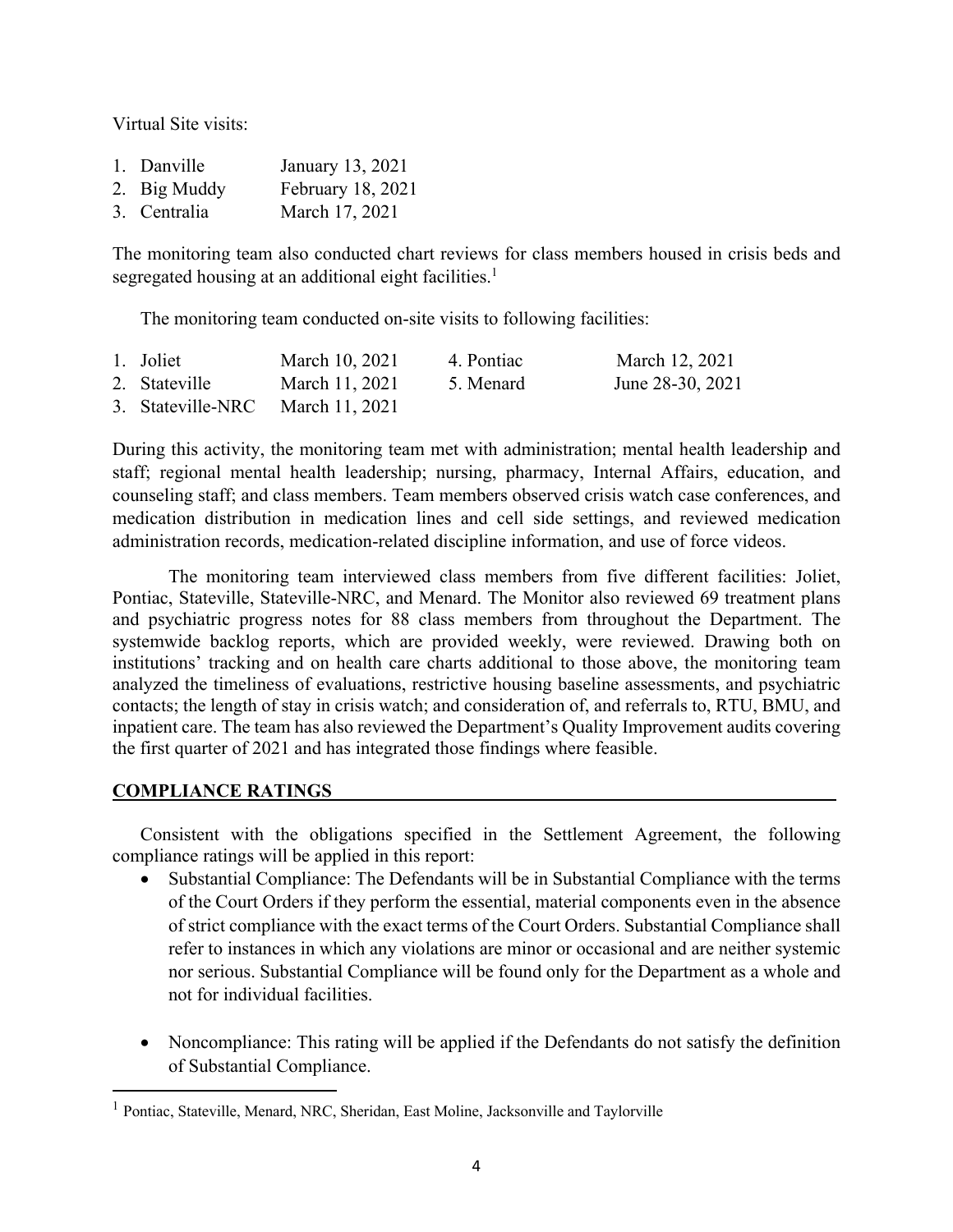Virtual Site visits:

| 1. Danville  | January 13, 2021  |
|--------------|-------------------|
| 2. Big Muddy | February 18, 2021 |
| 3. Centralia | March 17, 2021    |

The monitoring team also conducted chart reviews for class members housed in crisis beds and segregated housing at an additional eight facilities.<sup>1</sup>

The monitoring team conducted on-site visits to following facilities:

| 1. Joliet                        | March 10, 2021 | 4. Pontiac | March 12, 2021   |
|----------------------------------|----------------|------------|------------------|
| 2. Stateville                    | March 11, 2021 | 5. Menard  | June 28-30, 2021 |
| 3. Stateville-NRC March 11, 2021 |                |            |                  |

During this activity, the monitoring team met with administration; mental health leadership and staff; regional mental health leadership; nursing, pharmacy, Internal Affairs, education, and counseling staff; and class members. Team members observed crisis watch case conferences, and medication distribution in medication lines and cell side settings, and reviewed medication administration records, medication-related discipline information, and use of force videos.

The monitoring team interviewed class members from five different facilities: Joliet, Pontiac, Stateville, Stateville-NRC, and Menard. The Monitor also reviewed 69 treatment plans and psychiatric progress notes for 88 class members from throughout the Department. The systemwide backlog reports, which are provided weekly, were reviewed. Drawing both on institutions' tracking and on health care charts additional to those above, the monitoring team analyzed the timeliness of evaluations, restrictive housing baseline assessments, and psychiatric contacts; the length of stay in crisis watch; and consideration of, and referrals to, RTU, BMU, and inpatient care. The team has also reviewed the Department's Quality Improvement audits covering the first quarter of 2021 and has integrated those findings where feasible.

#### **COMPLIANCE RATINGS\_\_\_\_\_\_\_\_\_\_\_\_\_\_\_\_\_\_\_\_\_\_\_\_\_\_\_\_\_\_\_\_\_\_\_\_\_\_\_\_\_\_\_\_\_\_\_\_\_\_\_\_\_\_**

Consistent with the obligations specified in the Settlement Agreement, the following compliance ratings will be applied in this report:

- Substantial Compliance: The Defendants will be in Substantial Compliance with the terms of the Court Orders if they perform the essential, material components even in the absence of strict compliance with the exact terms of the Court Orders. Substantial Compliance shall refer to instances in which any violations are minor or occasional and are neither systemic nor serious. Substantial Compliance will be found only for the Department as a whole and not for individual facilities.
- Noncompliance: This rating will be applied if the Defendants do not satisfy the definition of Substantial Compliance.

<sup>1</sup> Pontiac, Stateville, Menard, NRC, Sheridan, East Moline, Jacksonville and Taylorville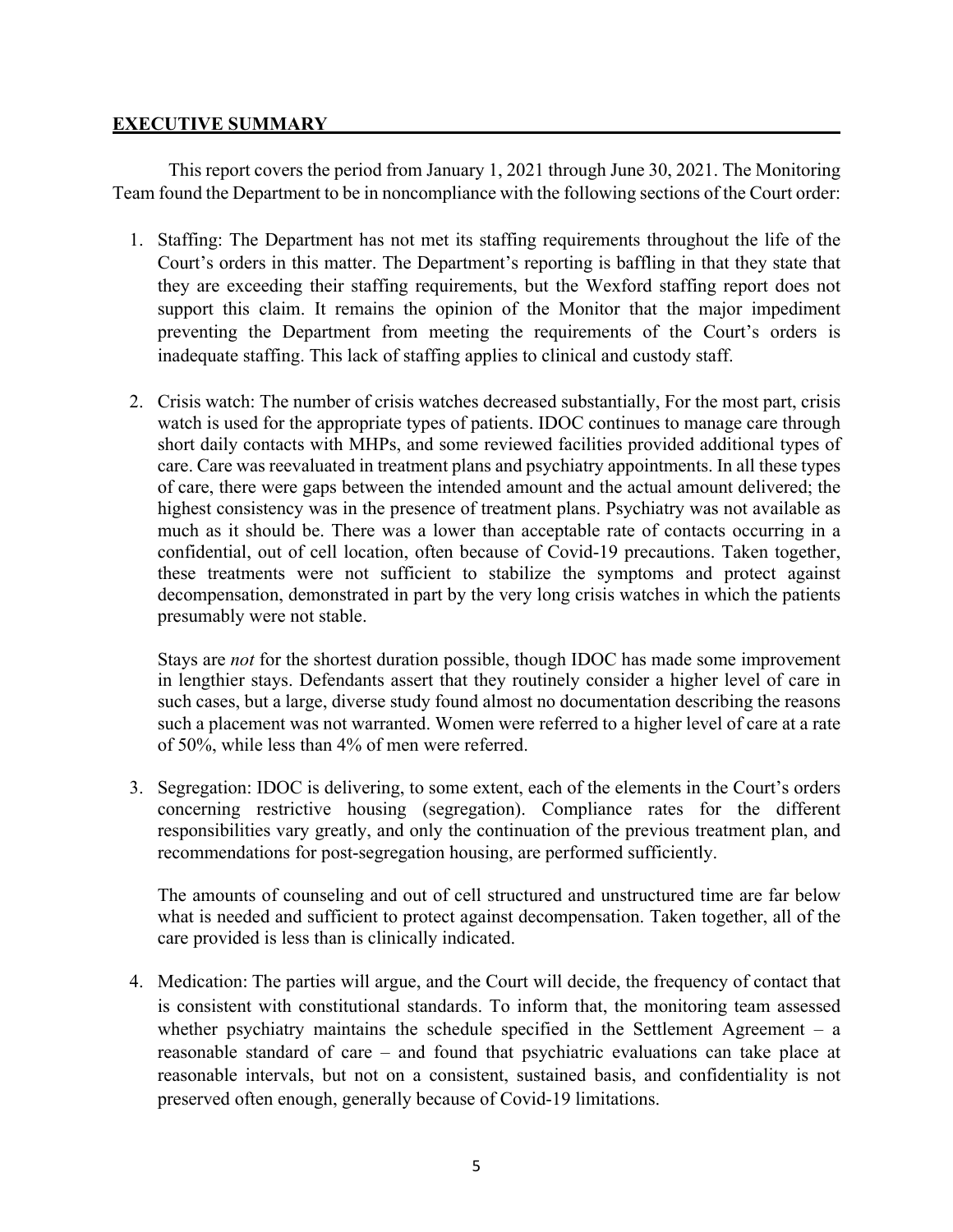## **EXECUTIVE SUMMARY**

This report covers the period from January 1, 2021 through June 30, 2021. The Monitoring Team found the Department to be in noncompliance with the following sections of the Court order:

- 1. Staffing: The Department has not met its staffing requirements throughout the life of the Court's orders in this matter. The Department's reporting is baffling in that they state that they are exceeding their staffing requirements, but the Wexford staffing report does not support this claim. It remains the opinion of the Monitor that the major impediment preventing the Department from meeting the requirements of the Court's orders is inadequate staffing. This lack of staffing applies to clinical and custody staff.
- 2. Crisis watch: The number of crisis watches decreased substantially, For the most part, crisis watch is used for the appropriate types of patients. IDOC continues to manage care through short daily contacts with MHPs, and some reviewed facilities provided additional types of care. Care was reevaluated in treatment plans and psychiatry appointments. In all these types of care, there were gaps between the intended amount and the actual amount delivered; the highest consistency was in the presence of treatment plans. Psychiatry was not available as much as it should be. There was a lower than acceptable rate of contacts occurring in a confidential, out of cell location, often because of Covid-19 precautions. Taken together, these treatments were not sufficient to stabilize the symptoms and protect against decompensation, demonstrated in part by the very long crisis watches in which the patients presumably were not stable.

Stays are *not* for the shortest duration possible, though IDOC has made some improvement in lengthier stays. Defendants assert that they routinely consider a higher level of care in such cases, but a large, diverse study found almost no documentation describing the reasons such a placement was not warranted. Women were referred to a higher level of care at a rate of 50%, while less than 4% of men were referred.

3. Segregation: IDOC is delivering, to some extent, each of the elements in the Court's orders concerning restrictive housing (segregation). Compliance rates for the different responsibilities vary greatly, and only the continuation of the previous treatment plan, and recommendations for post-segregation housing, are performed sufficiently.

The amounts of counseling and out of cell structured and unstructured time are far below what is needed and sufficient to protect against decompensation. Taken together, all of the care provided is less than is clinically indicated.

4. Medication: The parties will argue, and the Court will decide, the frequency of contact that is consistent with constitutional standards. To inform that, the monitoring team assessed whether psychiatry maintains the schedule specified in the Settlement Agreement – a reasonable standard of care – and found that psychiatric evaluations can take place at reasonable intervals, but not on a consistent, sustained basis, and confidentiality is not preserved often enough, generally because of Covid-19 limitations.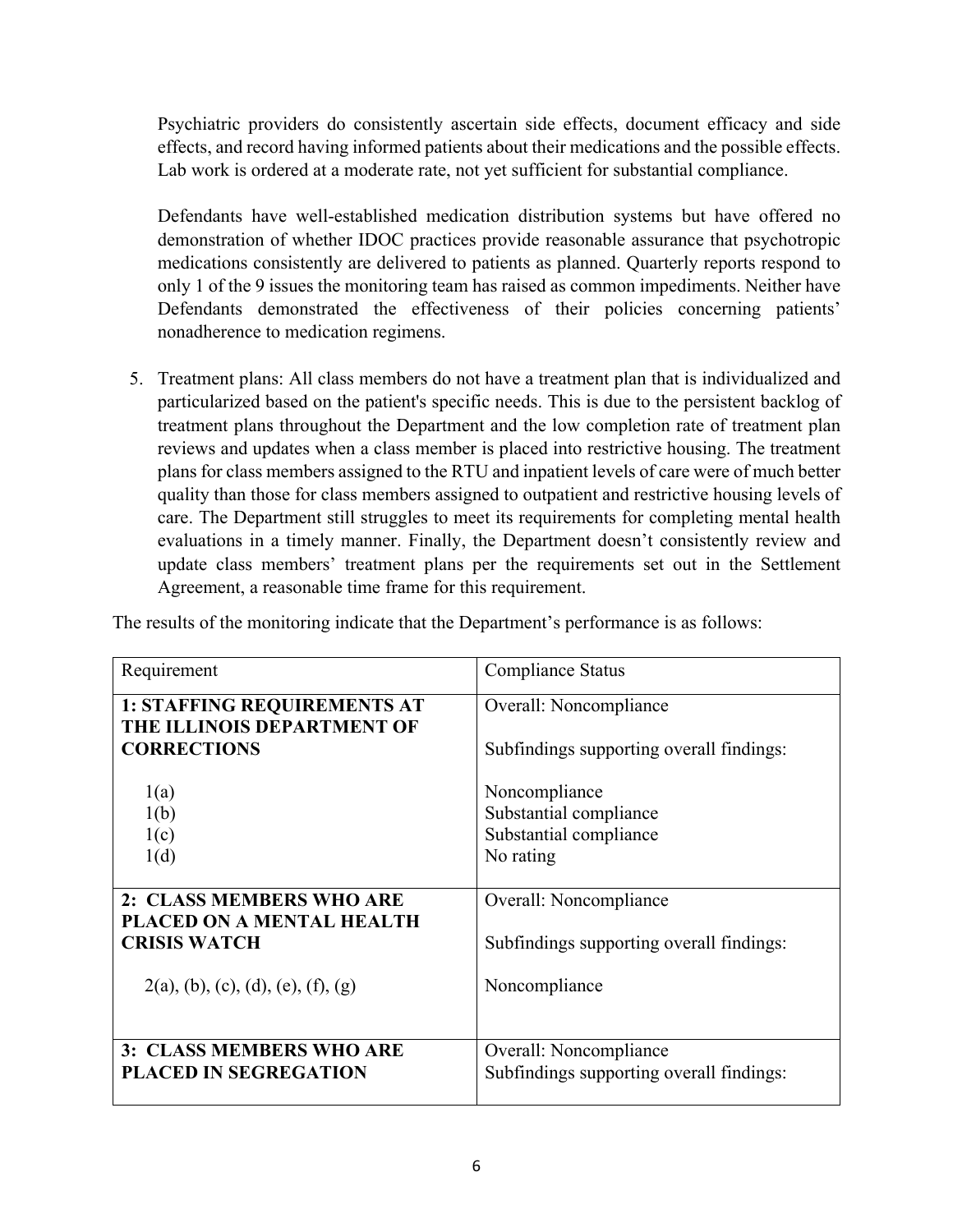Psychiatric providers do consistently ascertain side effects, document efficacy and side effects, and record having informed patients about their medications and the possible effects. Lab work is ordered at a moderate rate, not yet sufficient for substantial compliance.

Defendants have well-established medication distribution systems but have offered no demonstration of whether IDOC practices provide reasonable assurance that psychotropic medications consistently are delivered to patients as planned. Quarterly reports respond to only 1 of the 9 issues the monitoring team has raised as common impediments. Neither have Defendants demonstrated the effectiveness of their policies concerning patients' nonadherence to medication regimens.

5. Treatment plans: All class members do not have a treatment plan that is individualized and particularized based on the patient's specific needs. This is due to the persistent backlog of treatment plans throughout the Department and the low completion rate of treatment plan reviews and updates when a class member is placed into restrictive housing. The treatment plans for class members assigned to the RTU and inpatient levels of care were of much better quality than those for class members assigned to outpatient and restrictive housing levels of care. The Department still struggles to meet its requirements for completing mental health evaluations in a timely manner. Finally, the Department doesn't consistently review and update class members' treatment plans per the requirements set out in the Settlement Agreement, a reasonable time frame for this requirement.

| Requirement                                                      | Compliance Status                        |
|------------------------------------------------------------------|------------------------------------------|
| <b>1: STAFFING REQUIREMENTS AT</b><br>THE ILLINOIS DEPARTMENT OF | Overall: Noncompliance                   |
| <b>CORRECTIONS</b>                                               | Subfindings supporting overall findings: |
| 1(a)                                                             | Noncompliance                            |
| 1(b)                                                             | Substantial compliance                   |
| 1(c)                                                             | Substantial compliance                   |
| 1(d)                                                             | No rating                                |
| 2: CLASS MEMBERS WHO ARE<br>PLACED ON A MENTAL HEALTH            | Overall: Noncompliance                   |
| <b>CRISIS WATCH</b>                                              | Subfindings supporting overall findings: |
| $2(a)$ , (b), (c), (d), (e), (f), (g)                            | Noncompliance                            |
| 3: CLASS MEMBERS WHO ARE                                         | Overall: Noncompliance                   |
| <b>PLACED IN SEGREGATION</b>                                     | Subfindings supporting overall findings: |

The results of the monitoring indicate that the Department's performance is as follows: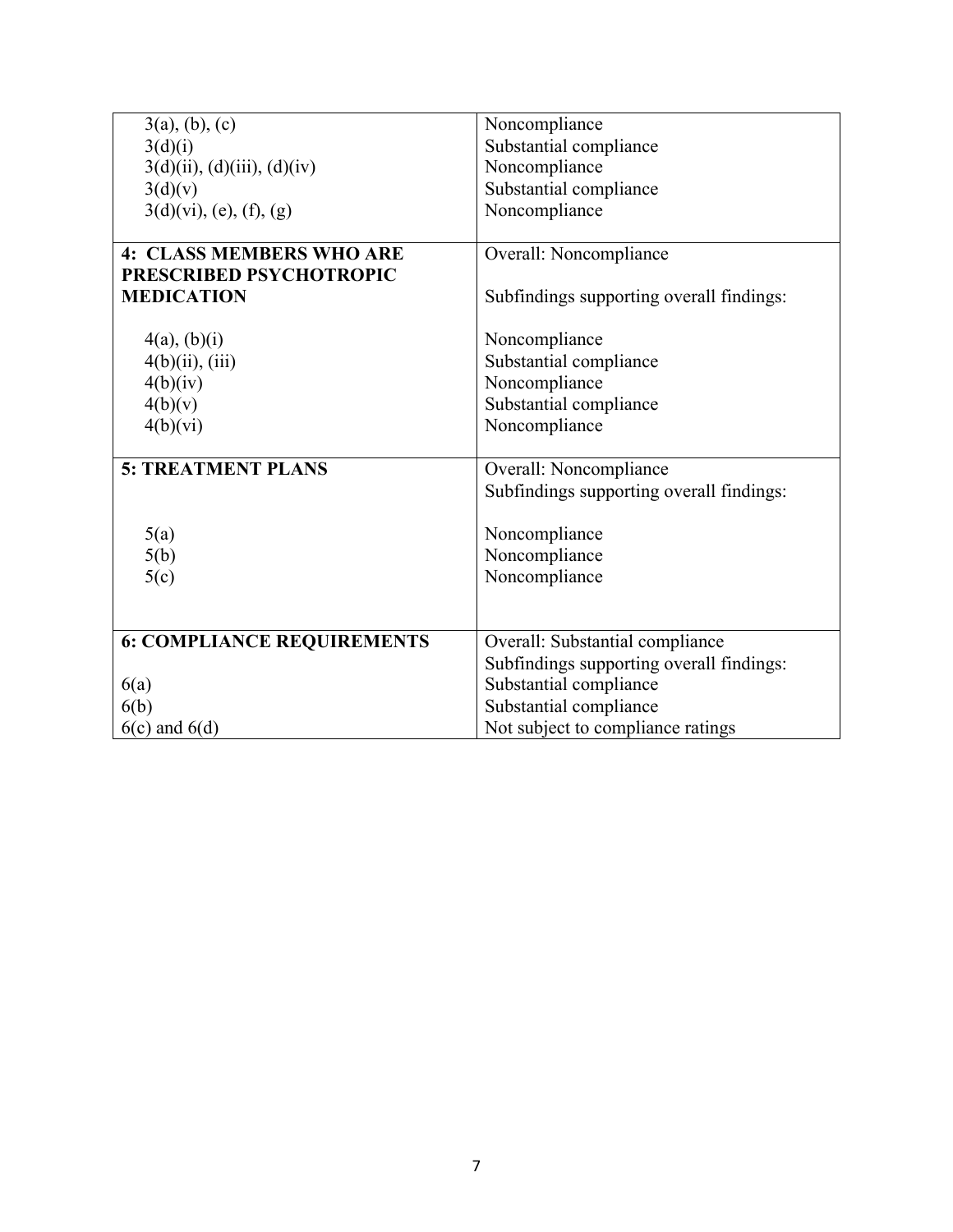| 3(a), (b), (c)                      | Noncompliance                            |
|-------------------------------------|------------------------------------------|
| 3(d)(i)                             | Substantial compliance                   |
| $3(d)(ii)$ , $(d)(iii)$ , $(d)(iv)$ | Noncompliance                            |
| 3(d)(v)                             | Substantial compliance                   |
| $3(d)(vi)$ , (e), (f), (g)          | Noncompliance                            |
|                                     |                                          |
| <b>4: CLASS MEMBERS WHO ARE</b>     | Overall: Noncompliance                   |
| PRESCRIBED PSYCHOTROPIC             |                                          |
| <b>MEDICATION</b>                   | Subfindings supporting overall findings: |
|                                     |                                          |
| $4(a)$ , $(b)(i)$                   | Noncompliance                            |
| 4(b)(ii), (iii)                     | Substantial compliance                   |
| 4(b)(iv)                            | Noncompliance                            |
| 4(b)(v)                             | Substantial compliance                   |
| 4(b)(vi)                            | Noncompliance                            |
|                                     |                                          |
| <b>5: TREATMENT PLANS</b>           | Overall: Noncompliance                   |
|                                     | Subfindings supporting overall findings: |
|                                     |                                          |
| 5(a)                                | Noncompliance                            |
| 5(b)                                | Noncompliance                            |
| 5(c)                                | Noncompliance                            |
|                                     |                                          |
|                                     |                                          |
| <b>6: COMPLIANCE REQUIREMENTS</b>   | Overall: Substantial compliance          |
|                                     | Subfindings supporting overall findings: |
| 6(a)                                | Substantial compliance                   |
| 6(b)                                | Substantial compliance                   |
| $6(c)$ and $6(d)$                   | Not subject to compliance ratings        |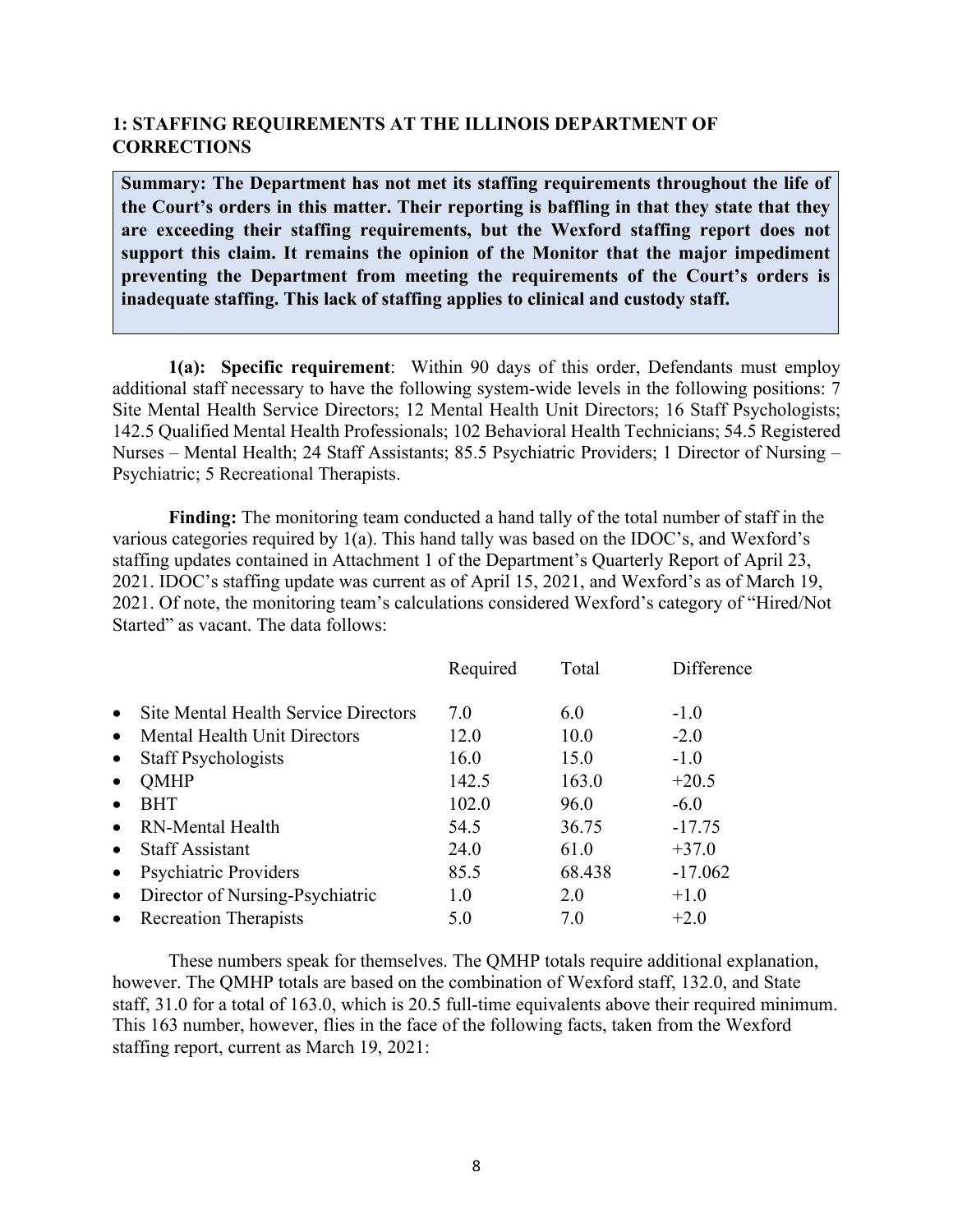# **1: STAFFING REQUIREMENTS AT THE ILLINOIS DEPARTMENT OF CORRECTIONS**

**Summary: The Department has not met its staffing requirements throughout the life of the Court's orders in this matter. Their reporting is baffling in that they state that they are exceeding their staffing requirements, but the Wexford staffing report does not support this claim. It remains the opinion of the Monitor that the major impediment preventing the Department from meeting the requirements of the Court's orders is inadequate staffing. This lack of staffing applies to clinical and custody staff.**

**1(a): Specific requirement**: Within 90 days of this order, Defendants must employ additional staff necessary to have the following system-wide levels in the following positions: 7 Site Mental Health Service Directors; 12 Mental Health Unit Directors; 16 Staff Psychologists; 142.5 Qualified Mental Health Professionals; 102 Behavioral Health Technicians; 54.5 Registered Nurses – Mental Health; 24 Staff Assistants; 85.5 Psychiatric Providers; 1 Director of Nursing – Psychiatric; 5 Recreational Therapists.

**Finding:** The monitoring team conducted a hand tally of the total number of staff in the various categories required by 1(a). This hand tally was based on the IDOC's, and Wexford's staffing updates contained in Attachment 1 of the Department's Quarterly Report of April 23, 2021. IDOC's staffing update was current as of April 15, 2021, and Wexford's as of March 19, 2021. Of note, the monitoring team's calculations considered Wexford's category of "Hired/Not Started" as vacant. The data follows:

|           |                                      | Required | Total  | Difference |
|-----------|--------------------------------------|----------|--------|------------|
| $\bullet$ | Site Mental Health Service Directors | 7.0      | 6.0    | $-1.0$     |
| $\bullet$ | <b>Mental Health Unit Directors</b>  | 12.0     | 10.0   | $-2.0$     |
| $\bullet$ | <b>Staff Psychologists</b>           | 16.0     | 15.0   | $-1.0$     |
| $\bullet$ | <b>QMHP</b>                          | 142.5    | 163.0  | $+20.5$    |
| $\bullet$ | <b>BHT</b>                           | 102.0    | 96.0   | $-6.0$     |
| $\bullet$ | <b>RN-Mental Health</b>              | 54.5     | 36.75  | $-17.75$   |
| $\bullet$ | <b>Staff Assistant</b>               | 24.0     | 61.0   | $+37.0$    |
| $\bullet$ | <b>Psychiatric Providers</b>         | 85.5     | 68.438 | $-17.062$  |
| $\bullet$ | Director of Nursing-Psychiatric      | 1.0      | 2.0    | $+1.0$     |
| $\bullet$ | <b>Recreation Therapists</b>         | 5.0      | 7.0    | $+2.0$     |

These numbers speak for themselves. The QMHP totals require additional explanation, however. The QMHP totals are based on the combination of Wexford staff, 132.0, and State staff, 31.0 for a total of 163.0, which is 20.5 full-time equivalents above their required minimum. This 163 number, however, flies in the face of the following facts, taken from the Wexford staffing report, current as March 19, 2021: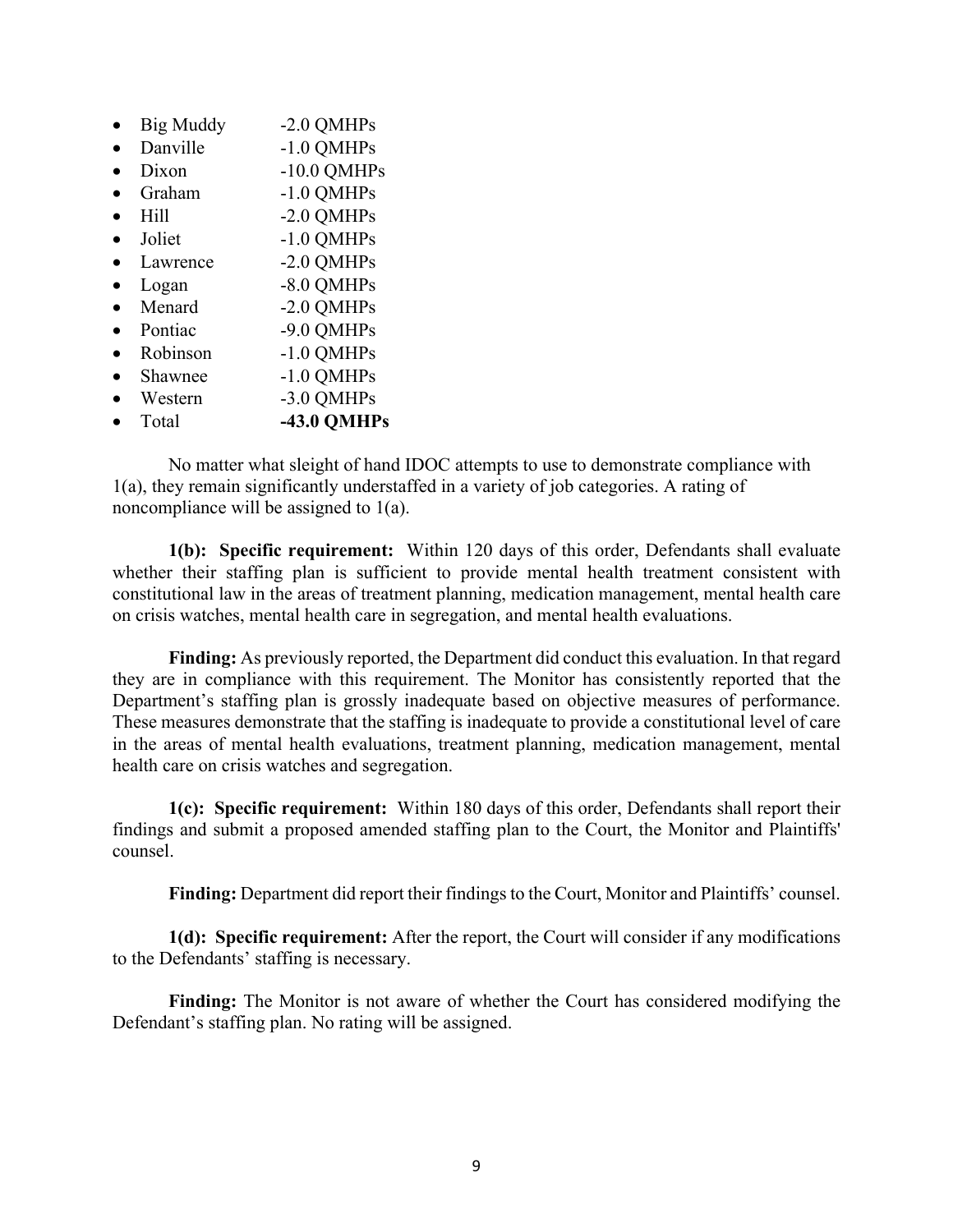| <b>Big Muddy</b> | -2.0 QMHPs         |
|------------------|--------------------|
| Danville         | $-1.0$ QMHPs       |
| Dixon            | $-10.0$ QMHPs      |
| Graham           | $-1.0$ QMHPs       |
| Hill             | -2.0 QMHPs         |
| Joliet           | $-1.0$ QMHPs       |
| Lawrence         | -2.0 QMHPs         |
| Logan            | -8.0 QMHPs         |
| Menard           | -2.0 QMHPs         |
| Pontiac          | -9.0 QMHPs         |
| Robinson         | $-1.0$ QMHPs       |
| Shawnee          | $-1.0$ QMHPs       |
| Western          | -3.0 QMHPs         |
| Total            | <b>-43.0 OMHPs</b> |
|                  |                    |

No matter what sleight of hand IDOC attempts to use to demonstrate compliance with 1(a), they remain significantly understaffed in a variety of job categories. A rating of noncompliance will be assigned to 1(a).

**1(b): Specific requirement:** Within 120 days of this order, Defendants shall evaluate whether their staffing plan is sufficient to provide mental health treatment consistent with constitutional law in the areas of treatment planning, medication management, mental health care on crisis watches, mental health care in segregation, and mental health evaluations.

**Finding:** As previously reported, the Department did conduct this evaluation. In that regard they are in compliance with this requirement. The Monitor has consistently reported that the Department's staffing plan is grossly inadequate based on objective measures of performance. These measures demonstrate that the staffing is inadequate to provide a constitutional level of care in the areas of mental health evaluations, treatment planning, medication management, mental health care on crisis watches and segregation.

**1(c): Specific requirement:** Within 180 days of this order, Defendants shall report their findings and submit a proposed amended staffing plan to the Court, the Monitor and Plaintiffs' counsel.

**Finding:** Department did report their findings to the Court, Monitor and Plaintiffs' counsel.

**1(d): Specific requirement:** After the report, the Court will consider if any modifications to the Defendants' staffing is necessary.

**Finding:** The Monitor is not aware of whether the Court has considered modifying the Defendant's staffing plan. No rating will be assigned.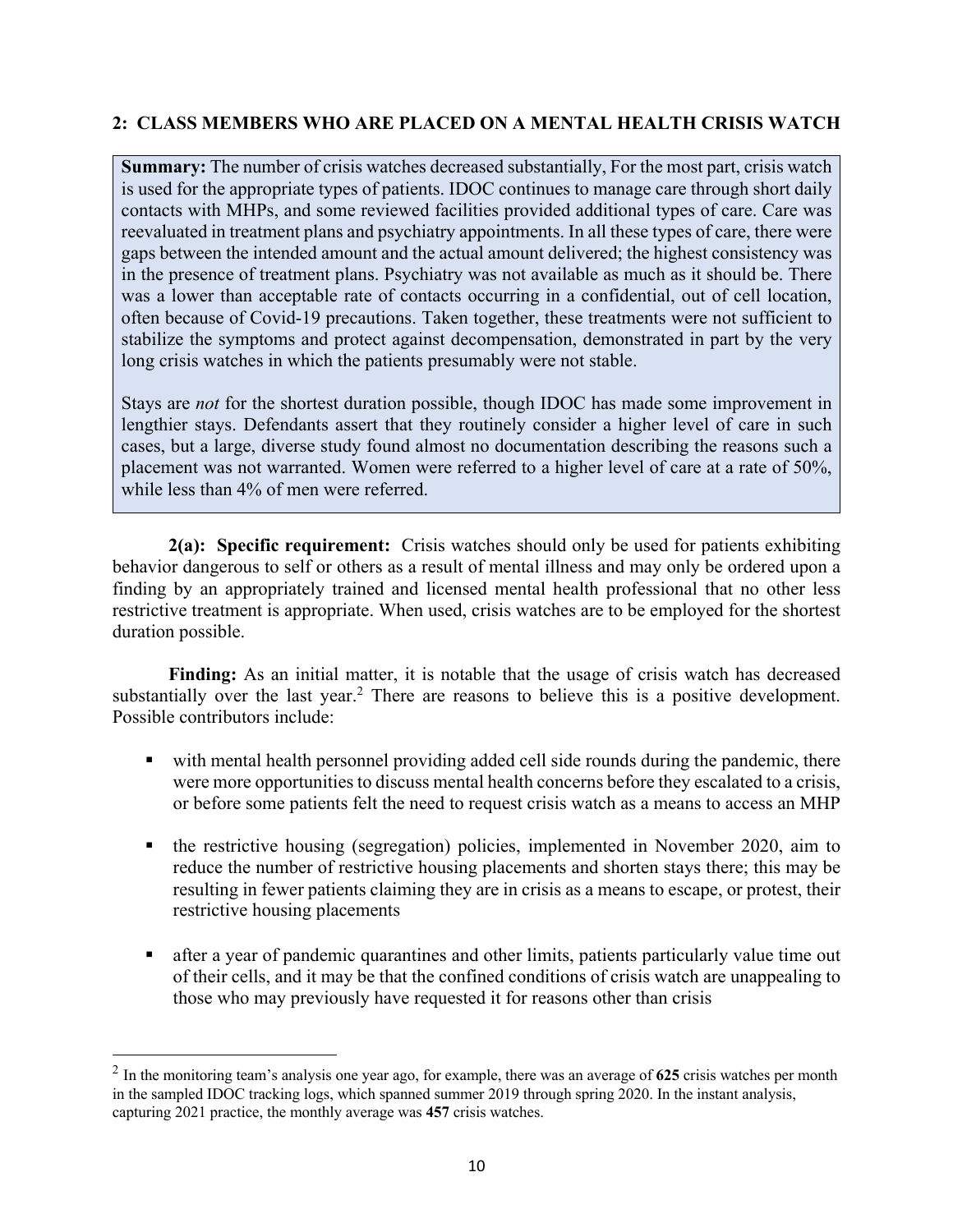# **2: CLASS MEMBERS WHO ARE PLACED ON A MENTAL HEALTH CRISIS WATCH**

**Summary:** The number of crisis watches decreased substantially, For the most part, crisis watch is used for the appropriate types of patients. IDOC continues to manage care through short daily contacts with MHPs, and some reviewed facilities provided additional types of care. Care was reevaluated in treatment plans and psychiatry appointments. In all these types of care, there were gaps between the intended amount and the actual amount delivered; the highest consistency was in the presence of treatment plans. Psychiatry was not available as much as it should be. There was a lower than acceptable rate of contacts occurring in a confidential, out of cell location, often because of Covid-19 precautions. Taken together, these treatments were not sufficient to stabilize the symptoms and protect against decompensation, demonstrated in part by the very long crisis watches in which the patients presumably were not stable.

Stays are *not* for the shortest duration possible, though IDOC has made some improvement in lengthier stays. Defendants assert that they routinely consider a higher level of care in such cases, but a large, diverse study found almost no documentation describing the reasons such a placement was not warranted. Women were referred to a higher level of care at a rate of 50%, while less than 4% of men were referred.

**2(a): Specific requirement:** Crisis watches should only be used for patients exhibiting behavior dangerous to self or others as a result of mental illness and may only be ordered upon a finding by an appropriately trained and licensed mental health professional that no other less restrictive treatment is appropriate. When used, crisis watches are to be employed for the shortest duration possible.

**Finding:** As an initial matter, it is notable that the usage of crisis watch has decreased substantially over the last year.<sup>2</sup> There are reasons to believe this is a positive development. Possible contributors include:

- with mental health personnel providing added cell side rounds during the pandemic, there were more opportunities to discuss mental health concerns before they escalated to a crisis, or before some patients felt the need to request crisis watch as a means to access an MHP
- the restrictive housing (segregation) policies, implemented in November 2020, aim to reduce the number of restrictive housing placements and shorten stays there; this may be resulting in fewer patients claiming they are in crisis as a means to escape, or protest, their restrictive housing placements
- after a year of pandemic quarantines and other limits, patients particularly value time out of their cells, and it may be that the confined conditions of crisis watch are unappealing to those who may previously have requested it for reasons other than crisis

<sup>2</sup> In the monitoring team's analysis one year ago, for example, there was an average of **625** crisis watches per month in the sampled IDOC tracking logs, which spanned summer 2019 through spring 2020. In the instant analysis, capturing 2021 practice, the monthly average was **457** crisis watches.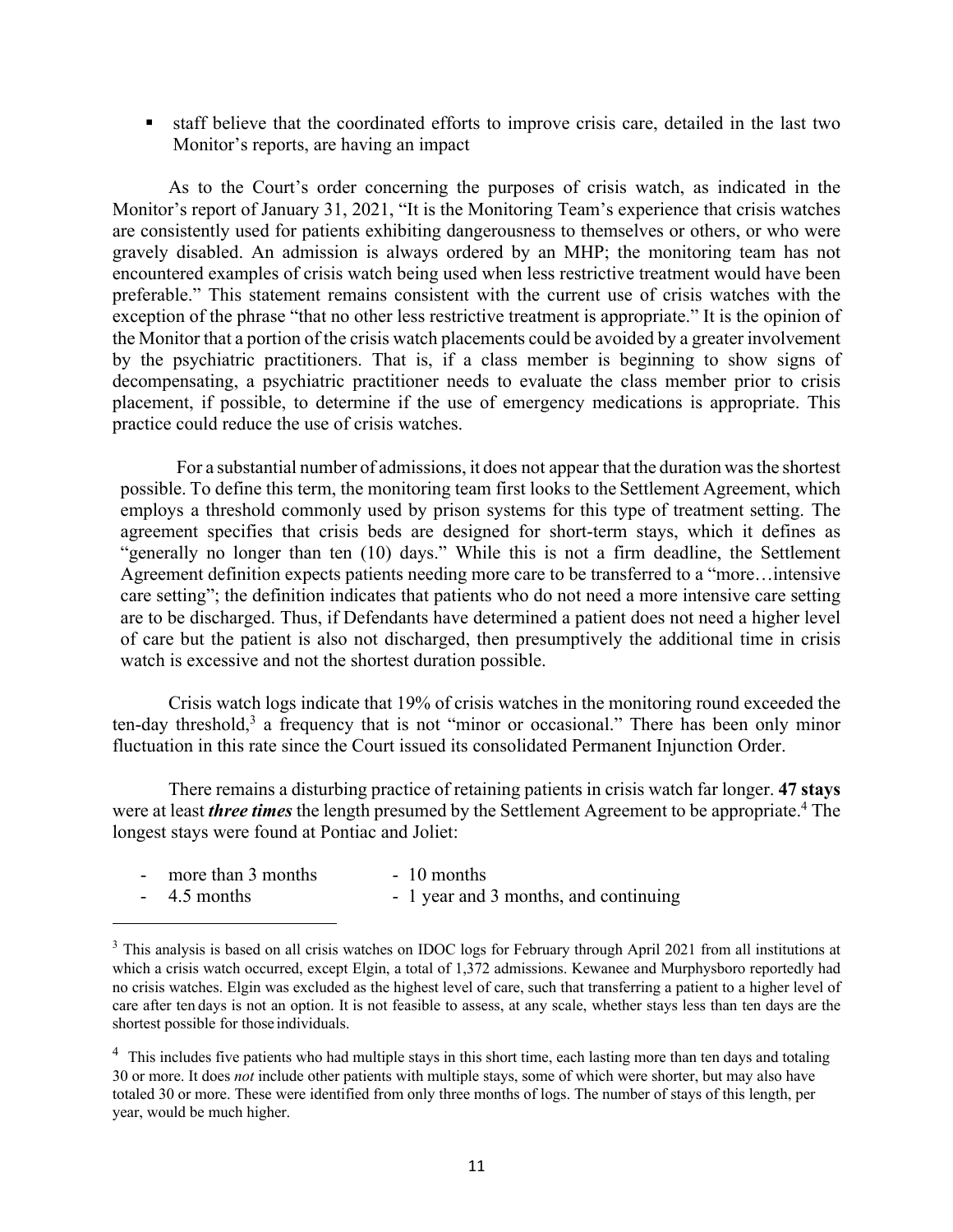■ staff believe that the coordinated efforts to improve crisis care, detailed in the last two Monitor's reports, are having an impact

As to the Court's order concerning the purposes of crisis watch, as indicated in the Monitor's report of January 31, 2021, "It is the Monitoring Team's experience that crisis watches are consistently used for patients exhibiting dangerousness to themselves or others, or who were gravely disabled. An admission is always ordered by an MHP; the monitoring team has not encountered examples of crisis watch being used when less restrictive treatment would have been preferable." This statement remains consistent with the current use of crisis watches with the exception of the phrase "that no other less restrictive treatment is appropriate." It is the opinion of the Monitor that a portion of the crisis watch placements could be avoided by a greater involvement by the psychiatric practitioners. That is, if a class member is beginning to show signs of decompensating, a psychiatric practitioner needs to evaluate the class member prior to crisis placement, if possible, to determine if the use of emergency medications is appropriate. This practice could reduce the use of crisis watches.

For a substantial number of admissions, it does not appear that the duration wasthe shortest possible. To define this term, the monitoring team first looks to the Settlement Agreement, which employs a threshold commonly used by prison systems for this type of treatment setting. The agreement specifies that crisis beds are designed for short-term stays, which it defines as "generally no longer than ten (10) days." While this is not a firm deadline, the Settlement Agreement definition expects patients needing more care to be transferred to a "more…intensive care setting"; the definition indicates that patients who do not need a more intensive care setting are to be discharged. Thus, if Defendants have determined a patient does not need a higher level of care but the patient is also not discharged, then presumptively the additional time in crisis watch is excessive and not the shortest duration possible.

Crisis watch logs indicate that 19% of crisis watches in the monitoring round exceeded the ten-day threshold,<sup>3</sup> a frequency that is not "minor or occasional." There has been only minor fluctuation in this rate since the Court issued its consolidated Permanent Injunction Order.

There remains a disturbing practice of retaining patients in crisis watch far longer. **47 stays** were at least *three times* the length presumed by the Settlement Agreement to be appropriate. <sup>4</sup> The longest stays were found at Pontiac and Joliet:

| $\sim$ | more than 3 months | $-10$ months                          |
|--------|--------------------|---------------------------------------|
|        | $-4.5$ months      | - 1 year and 3 months, and continuing |

<sup>&</sup>lt;sup>3</sup> This analysis is based on all crisis watches on IDOC logs for February through April 2021 from all institutions at which a crisis watch occurred, except Elgin, a total of 1,372 admissions. Kewanee and Murphysboro reportedly had no crisis watches. Elgin was excluded as the highest level of care, such that transferring a patient to a higher level of care after ten days is not an option. It is not feasible to assess, at any scale, whether stays less than ten days are the shortest possible for those individuals.

<sup>&</sup>lt;sup>4</sup> This includes five patients who had multiple stays in this short time, each lasting more than ten days and totaling 30 or more. It does *not* include other patients with multiple stays, some of which were shorter, but may also have totaled 30 or more. These were identified from only three months of logs. The number of stays of this length, per year, would be much higher.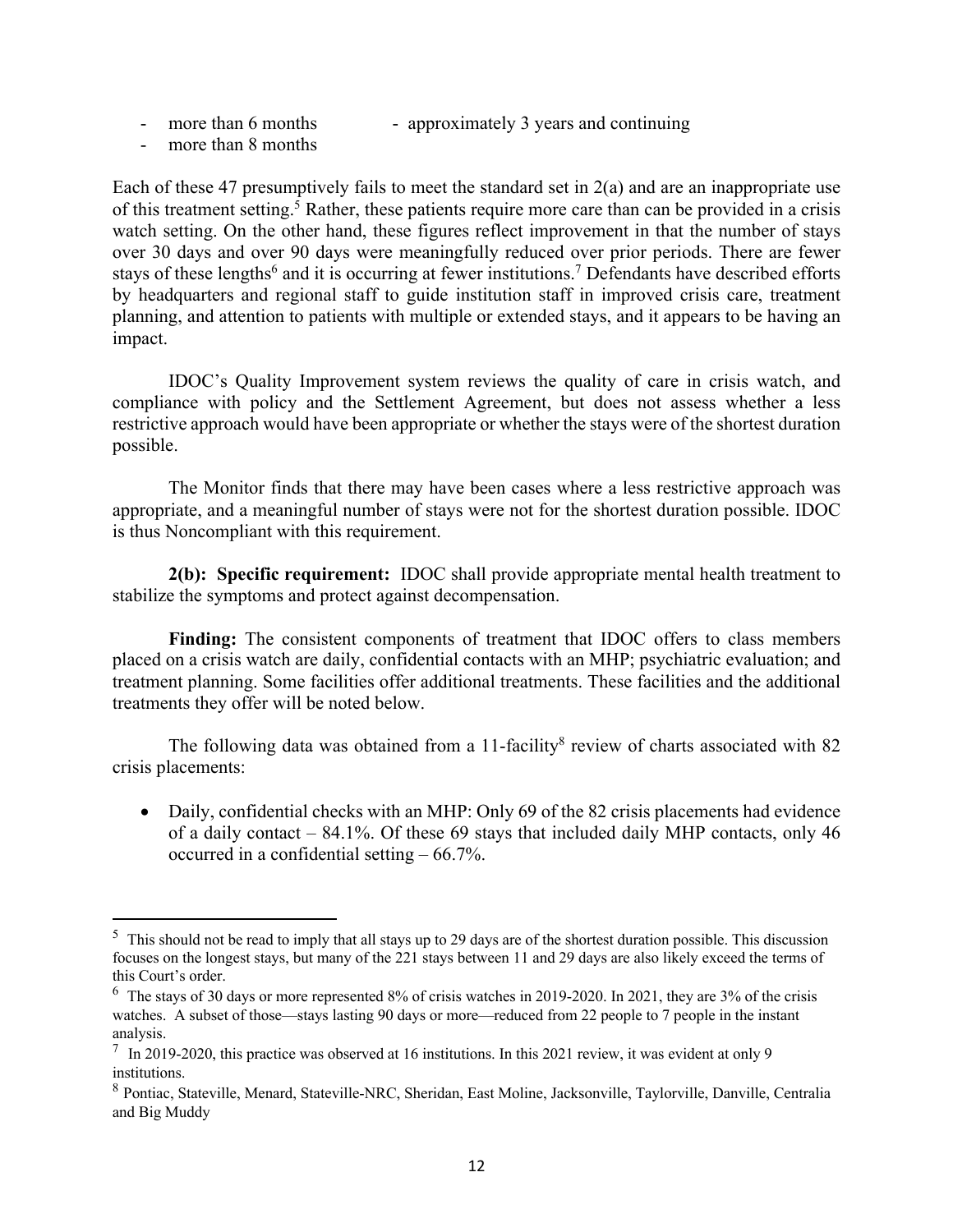- more than 6 months approximately 3 years and continuing
- more than 8 months

Each of these 47 presumptively fails to meet the standard set in 2(a) and are an inappropriate use of this treatment setting.<sup>5</sup> Rather, these patients require more care than can be provided in a crisis watch setting. On the other hand, these figures reflect improvement in that the number of stays over 30 days and over 90 days were meaningfully reduced over prior periods. There are fewer stays of these lengths<sup>6</sup> and it is occurring at fewer institutions.<sup>7</sup> Defendants have described efforts by headquarters and regional staff to guide institution staff in improved crisis care, treatment planning, and attention to patients with multiple or extended stays, and it appears to be having an impact.

IDOC's Quality Improvement system reviews the quality of care in crisis watch, and compliance with policy and the Settlement Agreement, but does not assess whether a less restrictive approach would have been appropriate or whether the stays were of the shortest duration possible.

The Monitor finds that there may have been cases where a less restrictive approach was appropriate, and a meaningful number of stays were not for the shortest duration possible. IDOC is thus Noncompliant with this requirement.

**2(b): Specific requirement:** IDOC shall provide appropriate mental health treatment to stabilize the symptoms and protect against decompensation.

**Finding:** The consistent components of treatment that IDOC offers to class members placed on a crisis watch are daily, confidential contacts with an MHP; psychiatric evaluation; and treatment planning. Some facilities offer additional treatments. These facilities and the additional treatments they offer will be noted below.

The following data was obtained from a 11-facility<sup>8</sup> review of charts associated with 82 crisis placements:

• Daily, confidential checks with an MHP: Only 69 of the 82 crisis placements had evidence of a daily contact – 84.1%. Of these 69 stays that included daily MHP contacts, only 46 occurred in a confidential setting – 66.7%.

 $5$  This should not be read to imply that all stays up to 29 days are of the shortest duration possible. This discussion focuses on the longest stays, but many of the 221 stays between 11 and 29 days are also likely exceed the terms of this Court's order.

 $6$  The stays of 30 days or more represented 8% of crisis watches in 2019-2020. In 2021, they are 3% of the crisis watches. A subset of those—stays lasting 90 days or more—reduced from 22 people to 7 people in the instant analysis.

<sup>7</sup> In 2019-2020, this practice was observed at 16 institutions. In this 2021 review, it was evident at only 9 institutions.

<sup>8</sup> Pontiac, Stateville, Menard, Stateville-NRC, Sheridan, East Moline, Jacksonville, Taylorville, Danville, Centralia and Big Muddy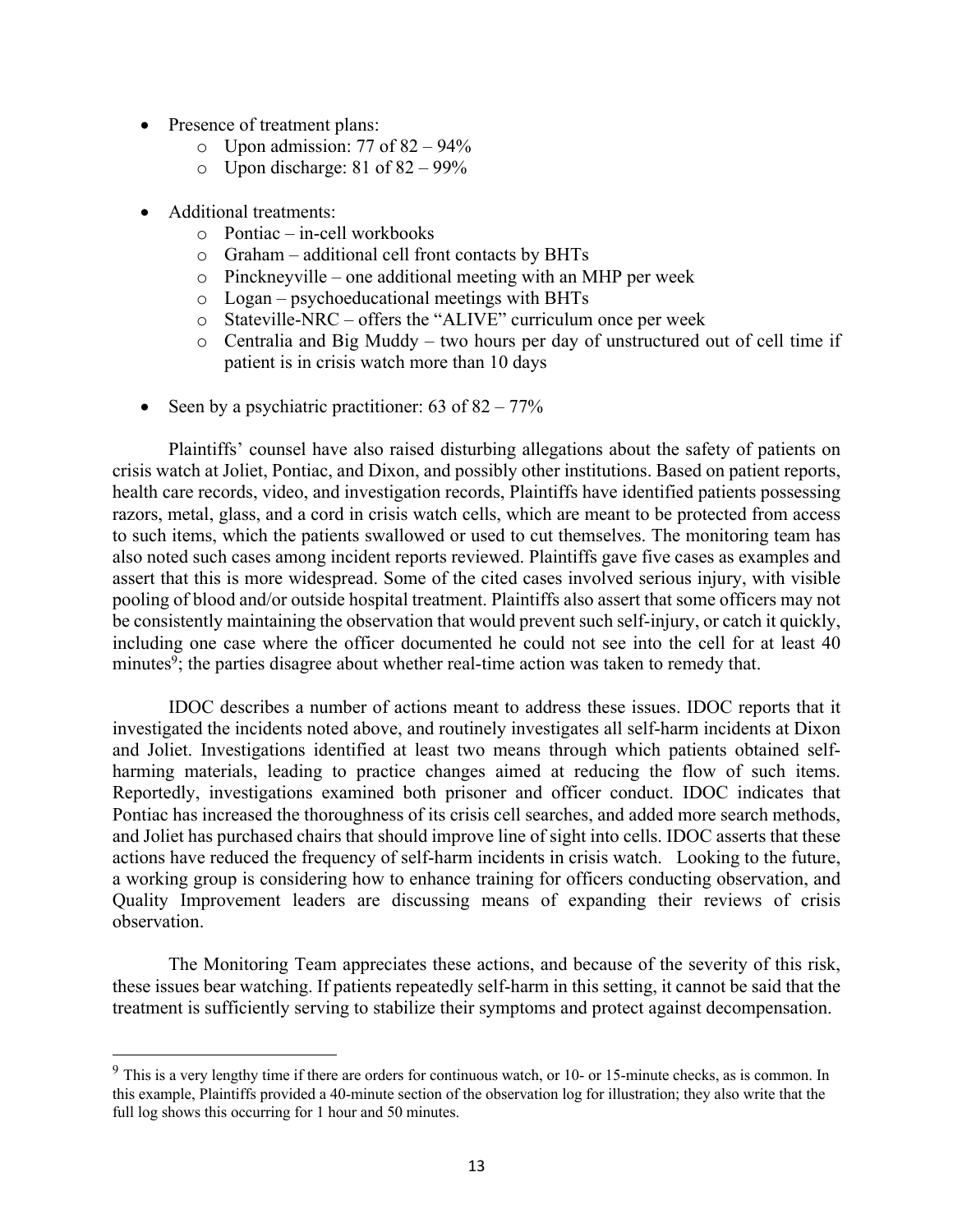- Presence of treatment plans:
	- $\circ$  Upon admission: 77 of 82 94%
	- $\circ$  Upon discharge: 81 of 82 99%
- Additional treatments:
	- o Pontiac in-cell workbooks
	- o Graham additional cell front contacts by BHTs
	- o Pinckneyville one additional meeting with an MHP per week
	- o Logan psychoeducational meetings with BHTs
	- o Stateville-NRC offers the "ALIVE" curriculum once per week
	- o Centralia and Big Muddy two hours per day of unstructured out of cell time if patient is in crisis watch more than 10 days
- Seen by a psychiatric practitioner:  $63$  of  $82 77\%$

Plaintiffs' counsel have also raised disturbing allegations about the safety of patients on crisis watch at Joliet, Pontiac, and Dixon, and possibly other institutions. Based on patient reports, health care records, video, and investigation records, Plaintiffs have identified patients possessing razors, metal, glass, and a cord in crisis watch cells, which are meant to be protected from access to such items, which the patients swallowed or used to cut themselves. The monitoring team has also noted such cases among incident reports reviewed. Plaintiffs gave five cases as examples and assert that this is more widespread. Some of the cited cases involved serious injury, with visible pooling of blood and/or outside hospital treatment. Plaintiffs also assert that some officers may not be consistently maintaining the observation that would prevent such self-injury, or catch it quickly, including one case where the officer documented he could not see into the cell for at least 40 minutes<sup>9</sup>; the parties disagree about whether real-time action was taken to remedy that.

IDOC describes a number of actions meant to address these issues. IDOC reports that it investigated the incidents noted above, and routinely investigates all self-harm incidents at Dixon and Joliet. Investigations identified at least two means through which patients obtained selfharming materials, leading to practice changes aimed at reducing the flow of such items. Reportedly, investigations examined both prisoner and officer conduct. IDOC indicates that Pontiac has increased the thoroughness of its crisis cell searches, and added more search methods, and Joliet has purchased chairs that should improve line of sight into cells. IDOC asserts that these actions have reduced the frequency of self-harm incidents in crisis watch. Looking to the future, a working group is considering how to enhance training for officers conducting observation, and Quality Improvement leaders are discussing means of expanding their reviews of crisis observation.

The Monitoring Team appreciates these actions, and because of the severity of this risk, these issues bear watching. If patients repeatedly self-harm in this setting, it cannot be said that the treatment is sufficiently serving to stabilize their symptoms and protect against decompensation.

 $9$  This is a very lengthy time if there are orders for continuous watch, or 10- or 15-minute checks, as is common. In this example, Plaintiffs provided a 40-minute section of the observation log for illustration; they also write that the full log shows this occurring for 1 hour and 50 minutes.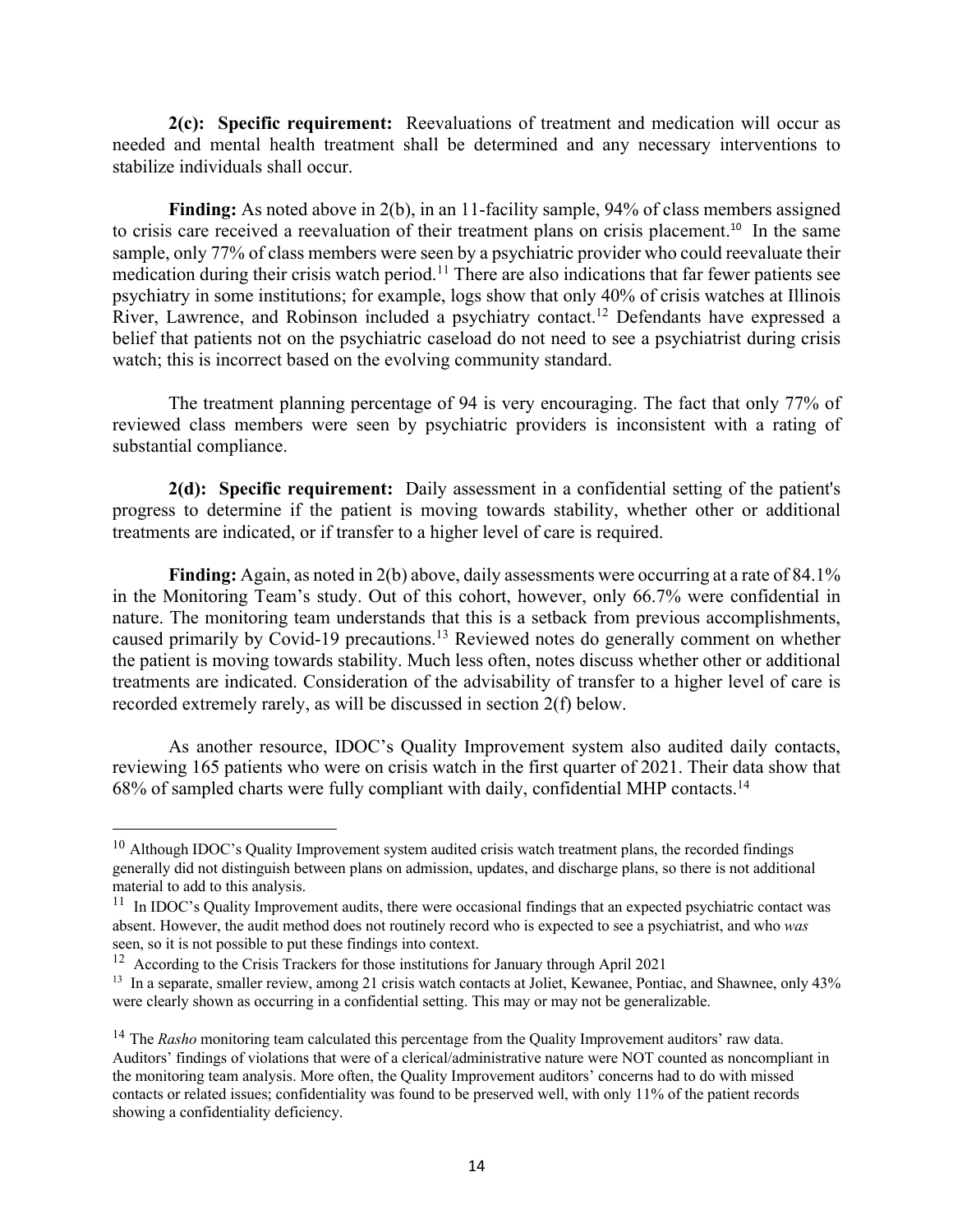**2(c): Specific requirement:** Reevaluations of treatment and medication will occur as needed and mental health treatment shall be determined and any necessary interventions to stabilize individuals shall occur.

**Finding:** As noted above in 2(b), in an 11-facility sample, 94% of class members assigned to crisis care received a reevaluation of their treatment plans on crisis placement.<sup>10</sup> In the same sample, only 77% of class members were seen by a psychiatric provider who could reevaluate their medication during their crisis watch period.<sup>11</sup> There are also indications that far fewer patients see psychiatry in some institutions; for example, logs show that only 40% of crisis watches at Illinois River, Lawrence, and Robinson included a psychiatry contact.<sup>12</sup> Defendants have expressed a belief that patients not on the psychiatric caseload do not need to see a psychiatrist during crisis watch; this is incorrect based on the evolving community standard.

The treatment planning percentage of 94 is very encouraging. The fact that only 77% of reviewed class members were seen by psychiatric providers is inconsistent with a rating of substantial compliance.

**2(d): Specific requirement:** Daily assessment in a confidential setting of the patient's progress to determine if the patient is moving towards stability, whether other or additional treatments are indicated, or if transfer to a higher level of care is required.

**Finding:** Again, as noted in 2(b) above, daily assessments were occurring at a rate of 84.1% in the Monitoring Team's study. Out of this cohort, however, only 66.7% were confidential in nature. The monitoring team understands that this is a setback from previous accomplishments, caused primarily by Covid-19 precautions.<sup>13</sup> Reviewed notes do generally comment on whether the patient is moving towards stability. Much less often, notes discuss whether other or additional treatments are indicated. Consideration of the advisability of transfer to a higher level of care is recorded extremely rarely, as will be discussed in section 2(f) below.

As another resource, IDOC's Quality Improvement system also audited daily contacts, reviewing 165 patients who were on crisis watch in the first quarter of 2021. Their data show that 68% of sampled charts were fully compliant with daily, confidential MHP contacts.14

 $10$  Although IDOC's Quality Improvement system audited crisis watch treatment plans, the recorded findings generally did not distinguish between plans on admission, updates, and discharge plans, so there is not additional material to add to this analysis.

 $11$  In IDOC's Quality Improvement audits, there were occasional findings that an expected psychiatric contact was absent. However, the audit method does not routinely record who is expected to see a psychiatrist, and who *was* seen, so it is not possible to put these findings into context.

<sup>&</sup>lt;sup>12</sup> According to the Crisis Trackers for those institutions for January through April 2021

<sup>&</sup>lt;sup>13</sup> In a separate, smaller review, among 21 crisis watch contacts at Joliet, Kewanee, Pontiac, and Shawnee, only 43% were clearly shown as occurring in a confidential setting. This may or may not be generalizable.

<sup>14</sup> The *Rasho* monitoring team calculated this percentage from the Quality Improvement auditors' raw data. Auditors' findings of violations that were of a clerical/administrative nature were NOT counted as noncompliant in the monitoring team analysis. More often, the Quality Improvement auditors' concerns had to do with missed contacts or related issues; confidentiality was found to be preserved well, with only 11% of the patient records showing a confidentiality deficiency.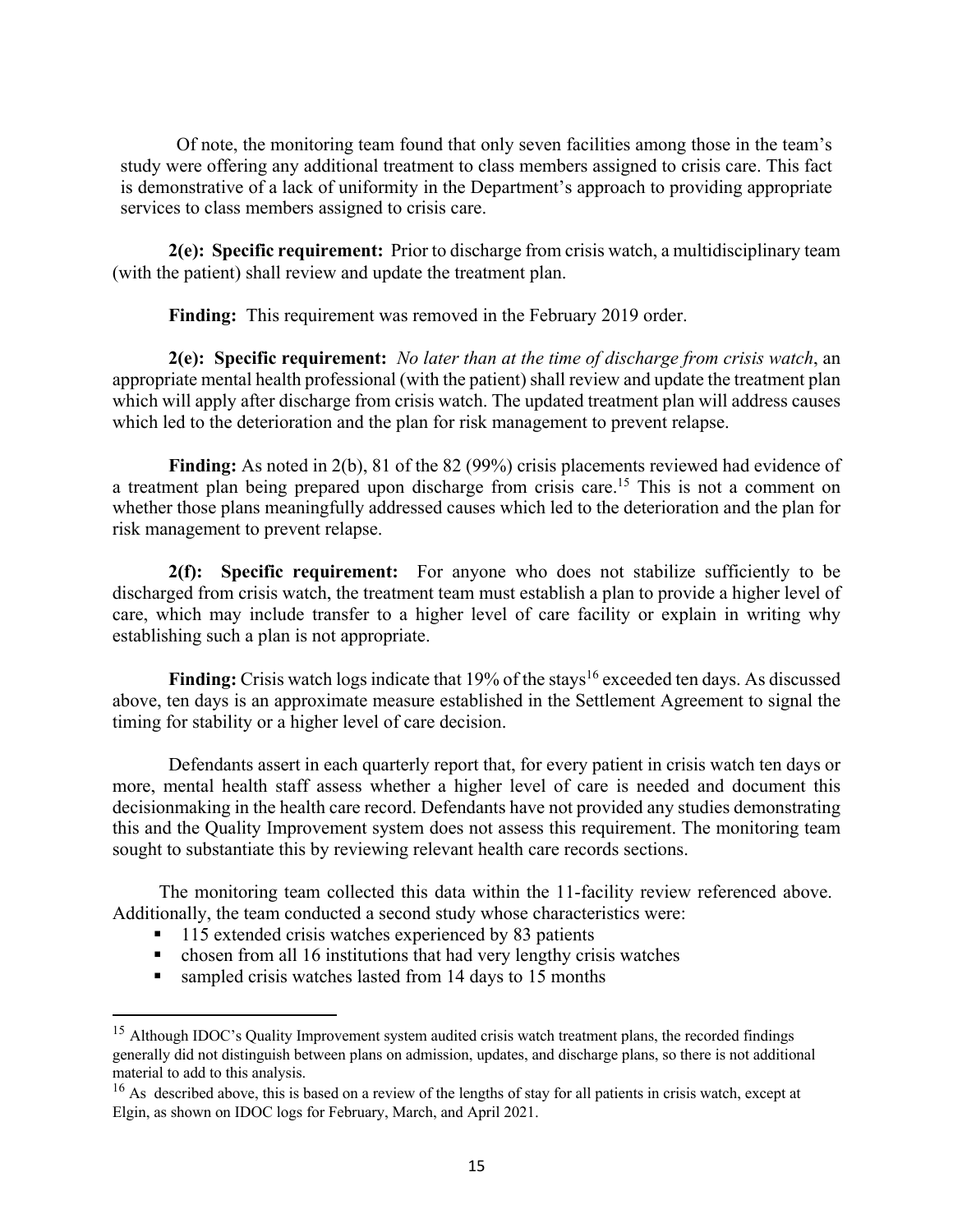Of note, the monitoring team found that only seven facilities among those in the team's study were offering any additional treatment to class members assigned to crisis care. This fact is demonstrative of a lack of uniformity in the Department's approach to providing appropriate services to class members assigned to crisis care.

**2(e): Specific requirement:** Prior to discharge from crisis watch, a multidisciplinary team (with the patient) shall review and update the treatment plan.

**Finding:** This requirement was removed in the February 2019 order.

**2(e): Specific requirement:** *No later than at the time of discharge from crisis watch*, an appropriate mental health professional (with the patient) shall review and update the treatment plan which will apply after discharge from crisis watch. The updated treatment plan will address causes which led to the deterioration and the plan for risk management to prevent relapse.

Finding: As noted in 2(b), 81 of the 82 (99%) crisis placements reviewed had evidence of a treatment plan being prepared upon discharge from crisis care.<sup>15</sup> This is not a comment on whether those plans meaningfully addressed causes which led to the deterioration and the plan for risk management to prevent relapse.

**2(f): Specific requirement:** For anyone who does not stabilize sufficiently to be discharged from crisis watch, the treatment team must establish a plan to provide a higher level of care, which may include transfer to a higher level of care facility or explain in writing why establishing such a plan is not appropriate.

**Finding:** Crisis watch logs indicate that 19% of the stays<sup>16</sup> exceeded ten days. As discussed above, ten days is an approximate measure established in the Settlement Agreement to signal the timing for stability or a higher level of care decision.

Defendants assert in each quarterly report that, for every patient in crisis watch ten days or more, mental health staff assess whether a higher level of care is needed and document this decisionmaking in the health care record. Defendants have not provided any studies demonstrating this and the Quality Improvement system does not assess this requirement. The monitoring team sought to substantiate this by reviewing relevant health care records sections.

 The monitoring team collected this data within the 11-facility review referenced above. Additionally, the team conducted a second study whose characteristics were:

- § 115 extended crisis watches experienced by 83 patients
- chosen from all 16 institutions that had very lengthy crisis watches
- sampled crisis watches lasted from 14 days to 15 months

<sup>&</sup>lt;sup>15</sup> Although IDOC's Quality Improvement system audited crisis watch treatment plans, the recorded findings generally did not distinguish between plans on admission, updates, and discharge plans, so there is not additional material to add to this analysis.

<sup>&</sup>lt;sup>16</sup> As described above, this is based on a review of the lengths of stay for all patients in crisis watch, except at Elgin, as shown on IDOC logs for February, March, and April 2021.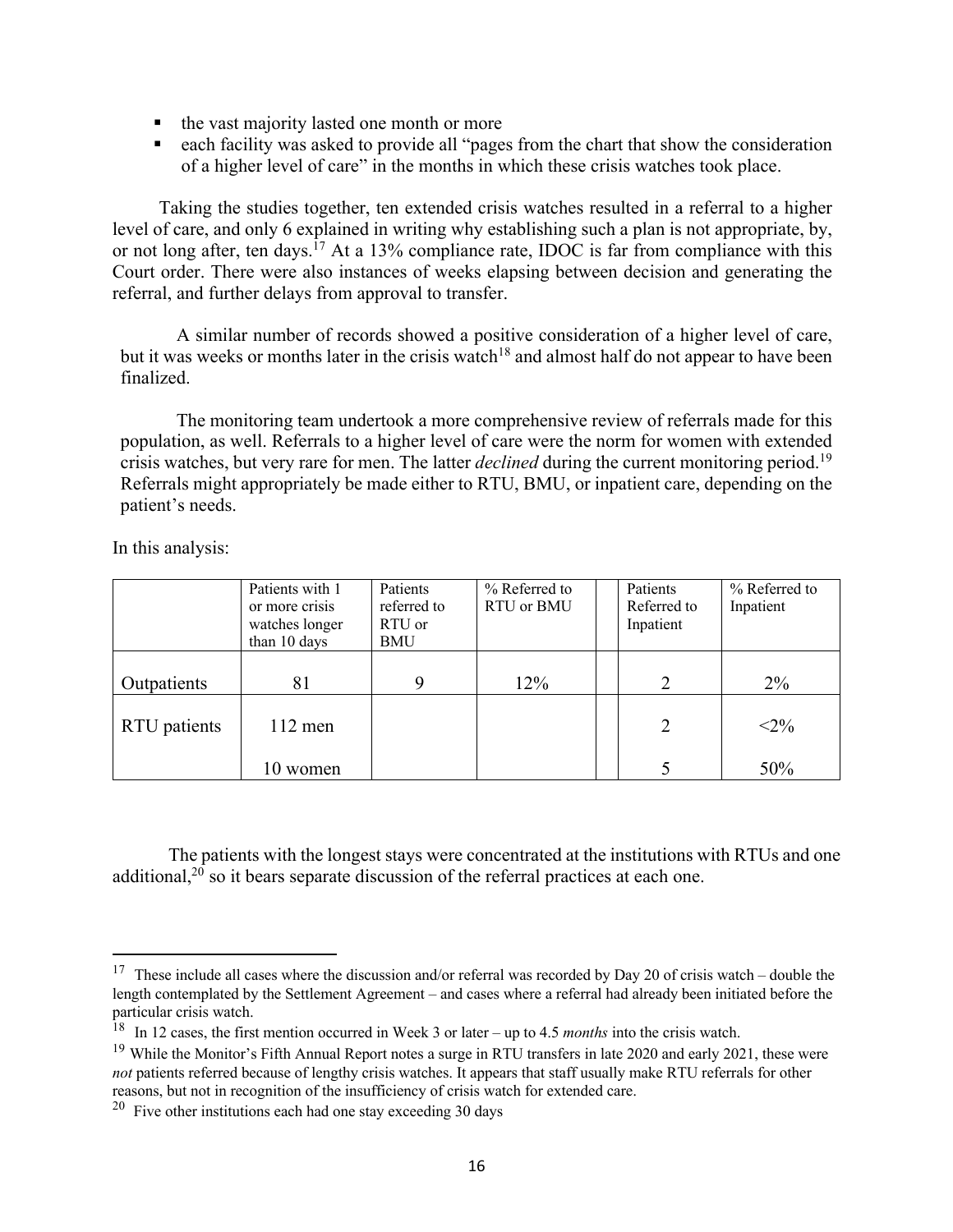- the vast majority lasted one month or more
- each facility was asked to provide all "pages from the chart that show the consideration of a higher level of care" in the months in which these crisis watches took place.

 Taking the studies together, ten extended crisis watches resulted in a referral to a higher level of care, and only 6 explained in writing why establishing such a plan is not appropriate, by, or not long after, ten days.<sup>17</sup> At a 13% compliance rate, IDOC is far from compliance with this Court order. There were also instances of weeks elapsing between decision and generating the referral, and further delays from approval to transfer.

A similar number of records showed a positive consideration of a higher level of care, but it was weeks or months later in the crisis watch<sup>18</sup> and almost half do not appear to have been finalized.

The monitoring team undertook a more comprehensive review of referrals made for this population, as well. Referrals to a higher level of care were the norm for women with extended crisis watches, but very rare for men. The latter *declined* during the current monitoring period.19 Referrals might appropriately be made either to RTU, BMU, or inpatient care, depending on the patient's needs.

In this analysis:

|              | Patients with 1 | Patients    | % Referred to | Patients       | % Referred to |
|--------------|-----------------|-------------|---------------|----------------|---------------|
|              | or more crisis  | referred to | RTU or BMU    | Referred to    | Inpatient     |
|              | watches longer  | RTU or      |               | Inpatient      |               |
|              | than 10 days    | BMU         |               |                |               |
|              |                 |             |               |                |               |
| Outpatients  | 81              | Q           | 12%           | 2              | $2\%$         |
|              |                 |             |               |                |               |
| RTU patients | $112$ men       |             |               | $\overline{2}$ | $<2\%$        |
|              |                 |             |               |                |               |
|              | 10 women        |             |               |                | 50%           |

The patients with the longest stays were concentrated at the institutions with RTUs and one additional, $2<sup>0</sup>$  so it bears separate discussion of the referral practices at each one.

<sup>&</sup>lt;sup>17</sup> These include all cases where the discussion and/or referral was recorded by Day 20 of crisis watch – double the length contemplated by the Settlement Agreement – and cases where a referral had already been initiated before the particular crisis watch.

<sup>18</sup> In 12 cases, the first mention occurred in Week 3 or later – up to 4.5 *months* into the crisis watch.

 $19$  While the Monitor's Fifth Annual Report notes a surge in RTU transfers in late 2020 and early 2021, these were *not* patients referred because of lengthy crisis watches. It appears that staff usually make RTU referrals for other reasons, but not in recognition of the insufficiency of crisis watch for extended care.

 $20$  Five other institutions each had one stay exceeding 30 days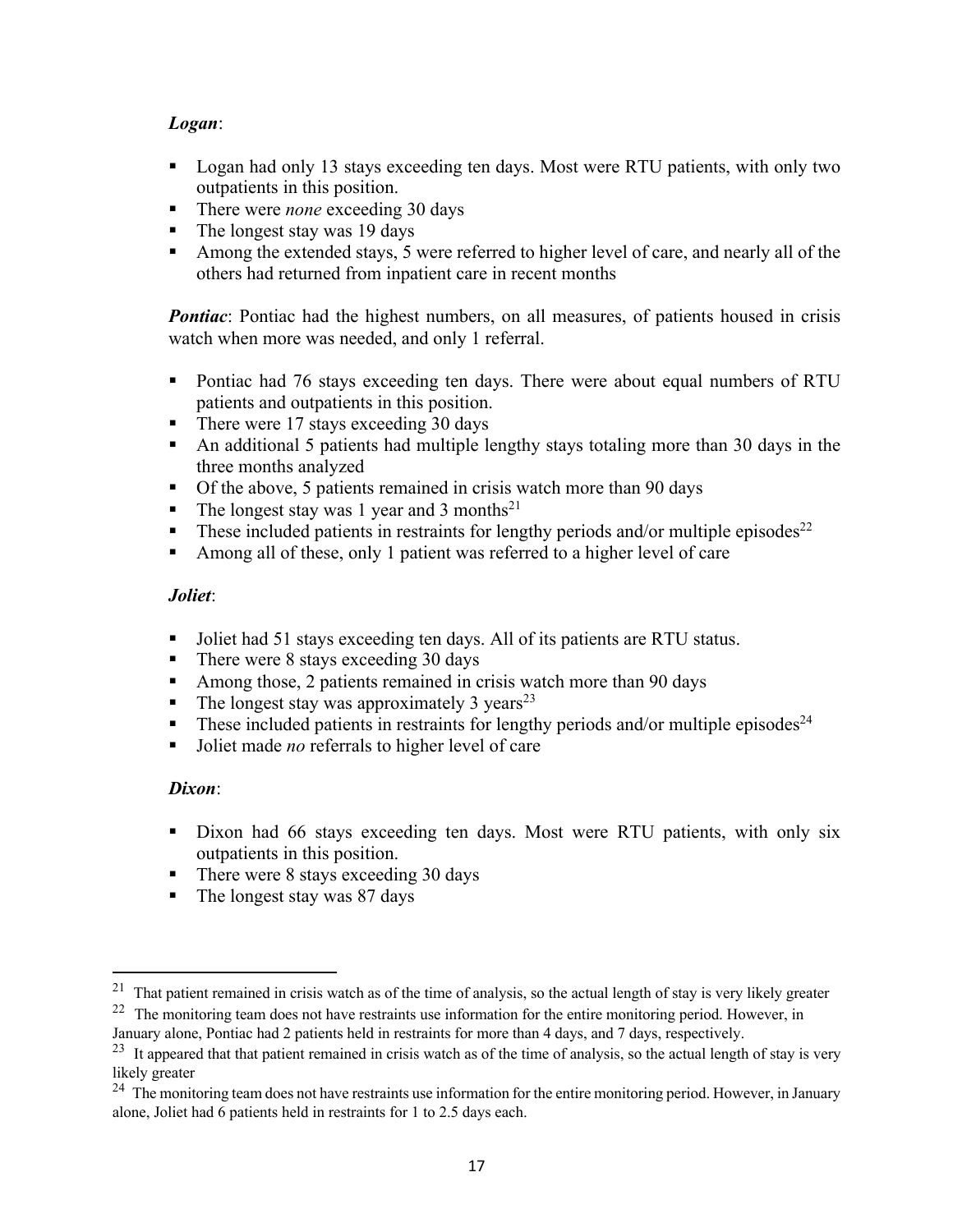# *Logan*:

- Logan had only 13 stays exceeding ten days. Most were RTU patients, with only two outpatients in this position.
- There were *none* exceeding 30 days
- The longest stay was 19 days
- Among the extended stays, 5 were referred to higher level of care, and nearly all of the others had returned from inpatient care in recent months

*Pontiac*: Pontiac had the highest numbers, on all measures, of patients housed in crisis watch when more was needed, and only 1 referral.

- Pontiac had 76 stays exceeding ten days. There were about equal numbers of RTU patients and outpatients in this position.
- There were 17 stays exceeding 30 days
- An additional 5 patients had multiple lengthy stays totaling more than 30 days in the three months analyzed
- Of the above, 5 patients remained in crisis watch more than 90 days
- The longest stay was 1 year and 3 months<sup>21</sup>
- **•** These included patients in restraints for lengthy periods and/or multiple episodes<sup>22</sup>
- Among all of these, only 1 patient was referred to a higher level of care

## *Joliet*:

- Joliet had 51 stays exceeding ten days. All of its patients are RTU status.
- There were 8 stays exceeding 30 days
- Among those, 2 patients remained in crisis watch more than 90 days
- The longest stay was approximately 3 years<sup>23</sup>
- These included patients in restraints for lengthy periods and/or multiple episodes<sup>24</sup>
- Joliet made *no* referrals to higher level of care

## *Dixon*:

- Dixon had 66 stays exceeding ten days. Most were RTU patients, with only six outpatients in this position.
- There were 8 stays exceeding 30 days
- The longest stay was 87 days

 $21$  That patient remained in crisis watch as of the time of analysis, so the actual length of stay is very likely greater

<sup>&</sup>lt;sup>22</sup> The monitoring team does not have restraints use information for the entire monitoring period. However, in January alone, Pontiac had 2 patients held in restraints for more than 4 days, and 7 days, respectively.

<sup>&</sup>lt;sup>23</sup> It appeared that that patient remained in crisis watch as of the time of analysis, so the actual length of stay is very likely greater

<sup>&</sup>lt;sup>24</sup> The monitoring team does not have restraints use information for the entire monitoring period. However, in January alone, Joliet had 6 patients held in restraints for 1 to 2.5 days each.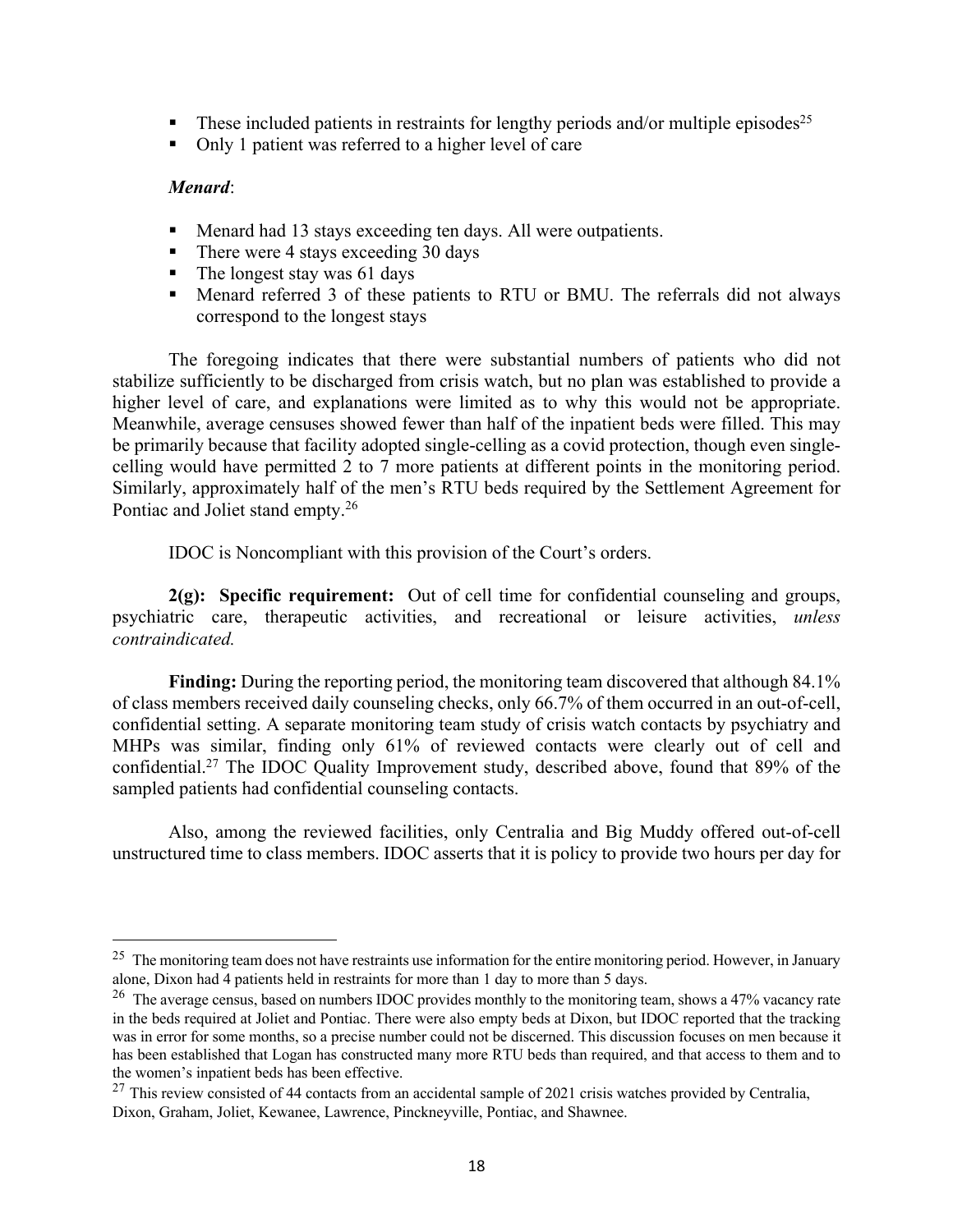- **•** These included patients in restraints for lengthy periods and/or multiple episodes<sup>25</sup>
- Only 1 patient was referred to a higher level of care

#### *Menard*:

- Menard had 13 stays exceeding ten days. All were outpatients.
- There were 4 stays exceeding 30 days
- The longest stay was 61 days
- Menard referred 3 of these patients to RTU or BMU. The referrals did not always correspond to the longest stays

The foregoing indicates that there were substantial numbers of patients who did not stabilize sufficiently to be discharged from crisis watch, but no plan was established to provide a higher level of care, and explanations were limited as to why this would not be appropriate. Meanwhile, average censuses showed fewer than half of the inpatient beds were filled. This may be primarily because that facility adopted single-celling as a covid protection, though even singlecelling would have permitted 2 to 7 more patients at different points in the monitoring period. Similarly, approximately half of the men's RTU beds required by the Settlement Agreement for Pontiac and Joliet stand empty.26

IDOC is Noncompliant with this provision of the Court's orders.

**2(g): Specific requirement:** Out of cell time for confidential counseling and groups, psychiatric care, therapeutic activities, and recreational or leisure activities, *unless contraindicated.*

**Finding:** During the reporting period, the monitoring team discovered that although 84.1% of class members received daily counseling checks, only 66.7% of them occurred in an out-of-cell, confidential setting. A separate monitoring team study of crisis watch contacts by psychiatry and MHPs was similar, finding only 61% of reviewed contacts were clearly out of cell and confidential.27 The IDOC Quality Improvement study, described above, found that 89% of the sampled patients had confidential counseling contacts.

Also, among the reviewed facilities, only Centralia and Big Muddy offered out-of-cell unstructured time to class members. IDOC asserts that it is policy to provide two hours per day for

 $25$  The monitoring team does not have restraints use information for the entire monitoring period. However, in January alone, Dixon had 4 patients held in restraints for more than 1 day to more than 5 days.

<sup>&</sup>lt;sup>26</sup> The average census, based on numbers IDOC provides monthly to the monitoring team, shows a 47% vacancy rate in the beds required at Joliet and Pontiac. There were also empty beds at Dixon, but IDOC reported that the tracking was in error for some months, so a precise number could not be discerned. This discussion focuses on men because it has been established that Logan has constructed many more RTU beds than required, and that access to them and to the women's inpatient beds has been effective.

<sup>&</sup>lt;sup>27</sup> This review consisted of 44 contacts from an accidental sample of 2021 crisis watches provided by Centralia, Dixon, Graham, Joliet, Kewanee, Lawrence, Pinckneyville, Pontiac, and Shawnee.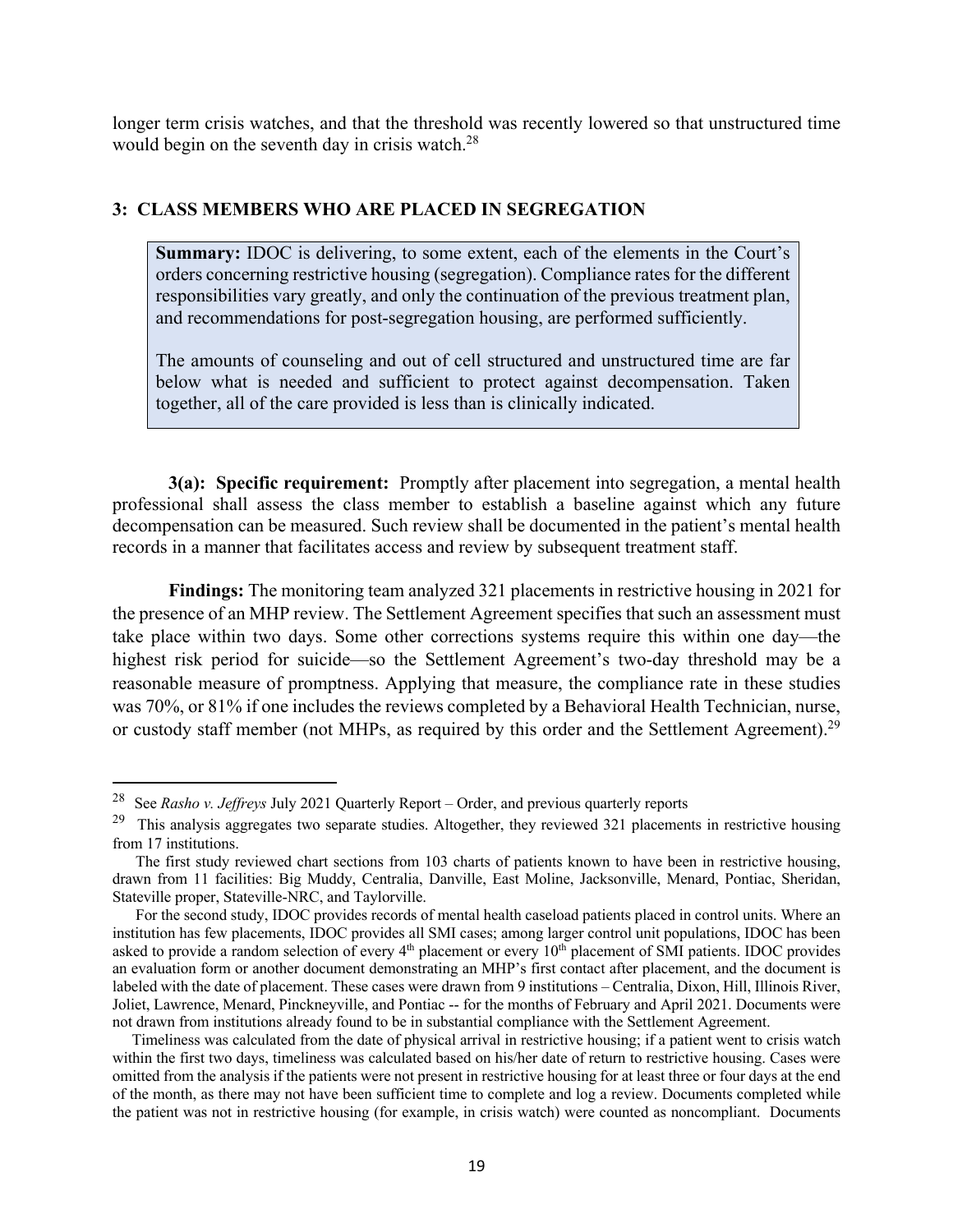longer term crisis watches, and that the threshold was recently lowered so that unstructured time would begin on the seventh day in crisis watch.<sup>28</sup>

#### **3: CLASS MEMBERS WHO ARE PLACED IN SEGREGATION**

**Summary:** IDOC is delivering, to some extent, each of the elements in the Court's orders concerning restrictive housing (segregation). Compliance rates for the different responsibilities vary greatly, and only the continuation of the previous treatment plan, and recommendations for post-segregation housing, are performed sufficiently.

The amounts of counseling and out of cell structured and unstructured time are far below what is needed and sufficient to protect against decompensation. Taken together, all of the care provided is less than is clinically indicated.

**3(a): Specific requirement:** Promptly after placement into segregation, a mental health professional shall assess the class member to establish a baseline against which any future decompensation can be measured. Such review shall be documented in the patient's mental health records in a manner that facilitates access and review by subsequent treatment staff.

**Findings:** The monitoring team analyzed 321 placements in restrictive housing in 2021 for the presence of an MHP review. The Settlement Agreement specifies that such an assessment must take place within two days. Some other corrections systems require this within one day—the highest risk period for suicide—so the Settlement Agreement's two-day threshold may be a reasonable measure of promptness. Applying that measure, the compliance rate in these studies was 70%, or 81% if one includes the reviews completed by a Behavioral Health Technician, nurse, or custody staff member (not MHPs, as required by this order and the Settlement Agreement).<sup>29</sup>

<sup>28</sup> See *Rasho v. Jeffreys* July 2021 Quarterly Report – Order, and previous quarterly reports

 $29$  This analysis aggregates two separate studies. Altogether, they reviewed 321 placements in restrictive housing from 17 institutions.

The first study reviewed chart sections from 103 charts of patients known to have been in restrictive housing, drawn from 11 facilities: Big Muddy, Centralia, Danville, East Moline, Jacksonville, Menard, Pontiac, Sheridan, Stateville proper, Stateville-NRC, and Taylorville.

For the second study, IDOC provides records of mental health caseload patients placed in control units. Where an institution has few placements, IDOC provides all SMI cases; among larger control unit populations, IDOC has been asked to provide a random selection of every 4<sup>th</sup> placement or every 10<sup>th</sup> placement of SMI patients. IDOC provides an evaluation form or another document demonstrating an MHP's first contact after placement, and the document is labeled with the date of placement. These cases were drawn from 9 institutions – Centralia, Dixon, Hill, Illinois River, Joliet, Lawrence, Menard, Pinckneyville, and Pontiac -- for the months of February and April 2021. Documents were not drawn from institutions already found to be in substantial compliance with the Settlement Agreement.

Timeliness was calculated from the date of physical arrival in restrictive housing; if a patient went to crisis watch within the first two days, timeliness was calculated based on his/her date of return to restrictive housing. Cases were omitted from the analysis if the patients were not present in restrictive housing for at least three or four days at the end of the month, as there may not have been sufficient time to complete and log a review. Documents completed while the patient was not in restrictive housing (for example, in crisis watch) were counted as noncompliant. Documents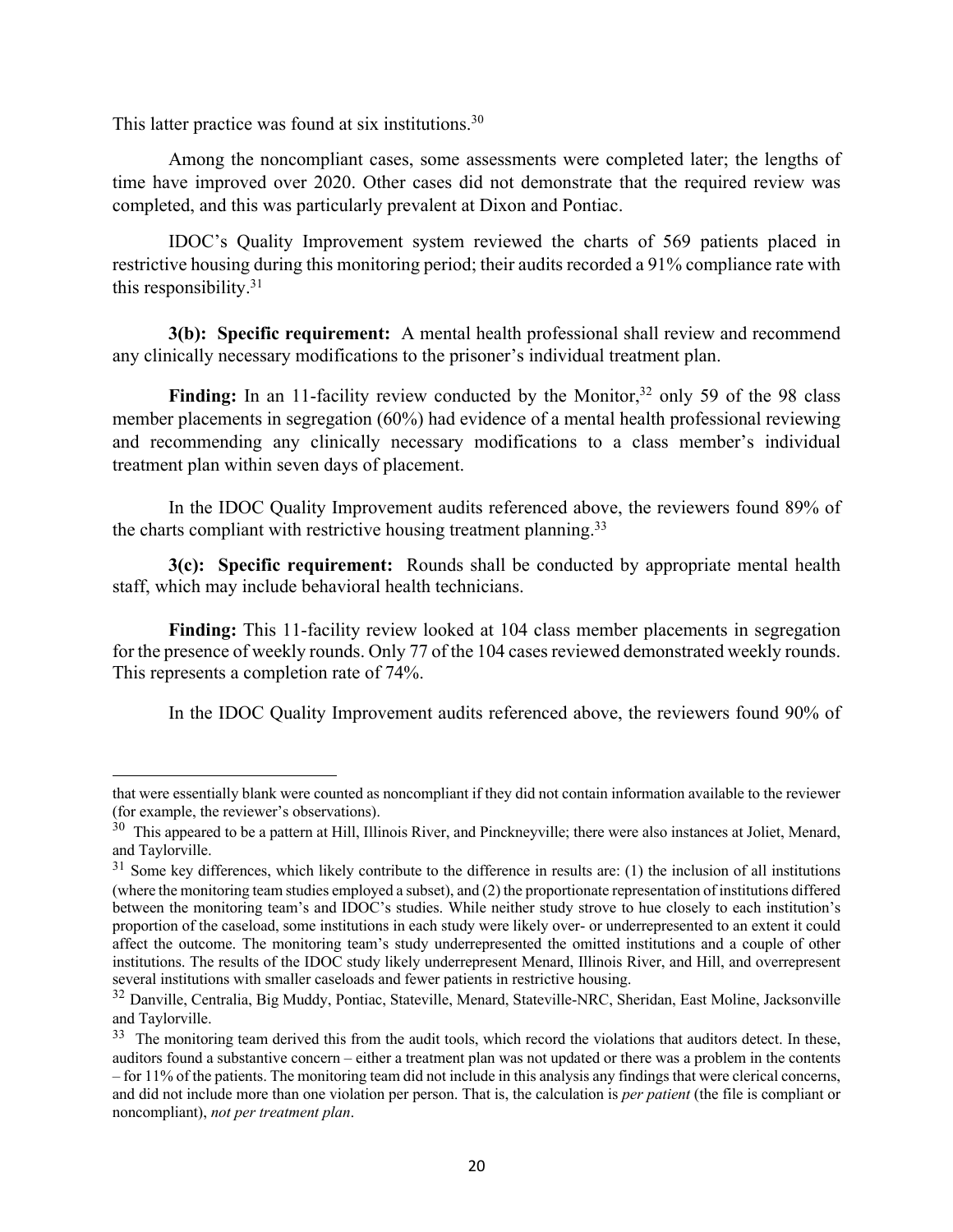This latter practice was found at six institutions.<sup>30</sup>

Among the noncompliant cases, some assessments were completed later; the lengths of time have improved over 2020. Other cases did not demonstrate that the required review was completed, and this was particularly prevalent at Dixon and Pontiac.

IDOC's Quality Improvement system reviewed the charts of 569 patients placed in restrictive housing during this monitoring period; their audits recorded a 91% compliance rate with this responsibility. $31$ 

**3(b): Specific requirement:** A mental health professional shall review and recommend any clinically necessary modifications to the prisoner's individual treatment plan.

Finding: In an 11-facility review conducted by the Monitor,<sup>32</sup> only 59 of the 98 class member placements in segregation (60%) had evidence of a mental health professional reviewing and recommending any clinically necessary modifications to a class member's individual treatment plan within seven days of placement.

In the IDOC Quality Improvement audits referenced above, the reviewers found 89% of the charts compliant with restrictive housing treatment planning.<sup>33</sup>

**3(c): Specific requirement:** Rounds shall be conducted by appropriate mental health staff, which may include behavioral health technicians.

**Finding:** This 11-facility review looked at 104 class member placements in segregation for the presence of weekly rounds. Only 77 of the 104 cases reviewed demonstrated weekly rounds. This represents a completion rate of 74%.

In the IDOC Quality Improvement audits referenced above, the reviewers found 90% of

that were essentially blank were counted as noncompliant if they did not contain information available to the reviewer (for example, the reviewer's observations).

 $30$  This appeared to be a pattern at Hill, Illinois River, and Pinckneyville; there were also instances at Joliet, Menard, and Taylorville.

 $31$  Some key differences, which likely contribute to the difference in results are: (1) the inclusion of all institutions (where the monitoring team studies employed a subset), and (2) the proportionate representation of institutions differed between the monitoring team's and IDOC's studies. While neither study strove to hue closely to each institution's proportion of the caseload, some institutions in each study were likely over- or underrepresented to an extent it could affect the outcome. The monitoring team's study underrepresented the omitted institutions and a couple of other institutions. The results of the IDOC study likely underrepresent Menard, Illinois River, and Hill, and overrepresent several institutions with smaller caseloads and fewer patients in restrictive housing.

<sup>32</sup> Danville, Centralia, Big Muddy, Pontiac, Stateville, Menard, Stateville-NRC, Sheridan, East Moline, Jacksonville and Taylorville.

 $33$  The monitoring team derived this from the audit tools, which record the violations that auditors detect. In these, auditors found a substantive concern – either a treatment plan was not updated or there was a problem in the contents – for 11% of the patients. The monitoring team did not include in this analysis any findings that were clerical concerns, and did not include more than one violation per person. That is, the calculation is *per patient* (the file is compliant or noncompliant), *not per treatment plan*.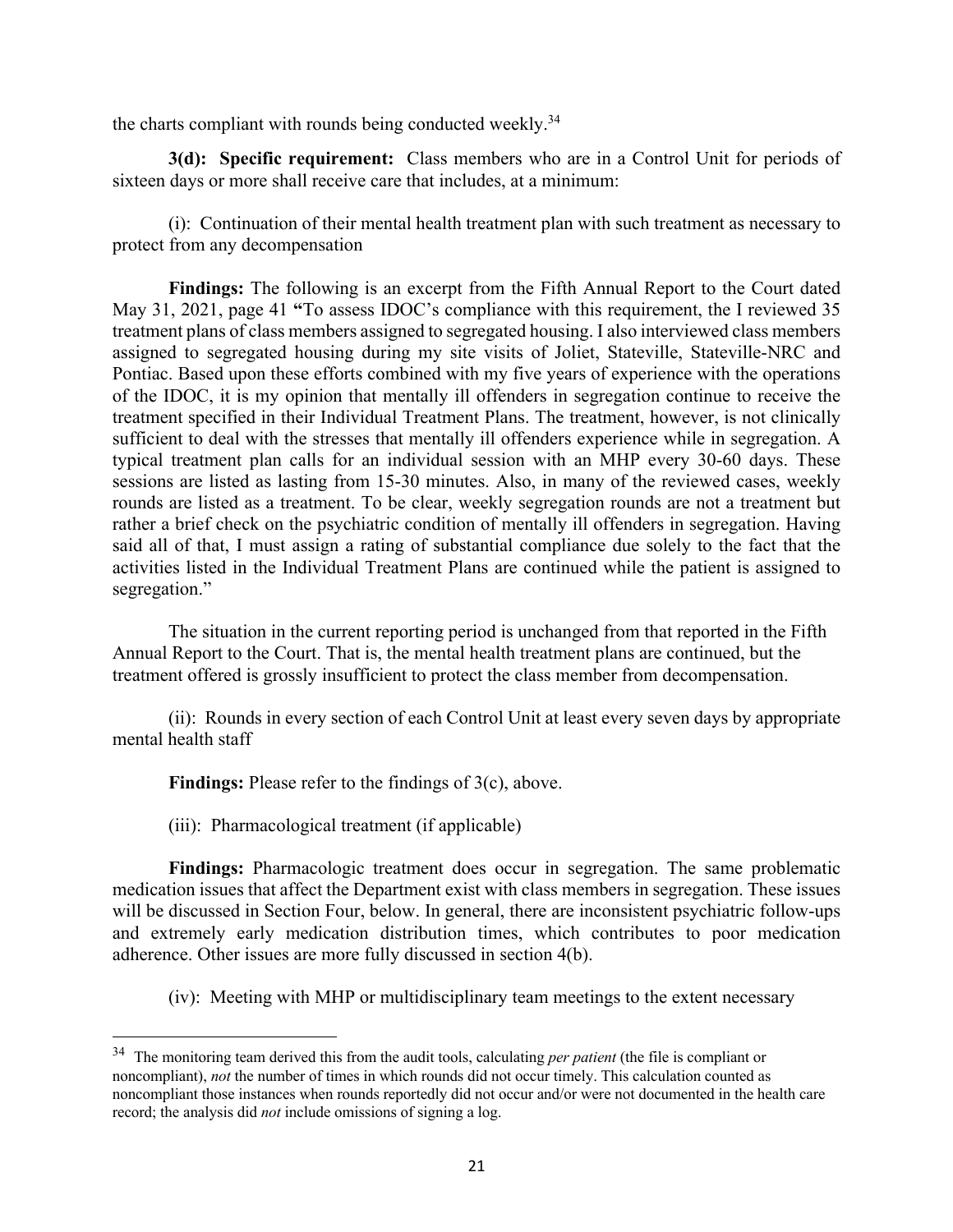the charts compliant with rounds being conducted weekly.<sup>34</sup>

**3(d): Specific requirement:** Class members who are in a Control Unit for periods of sixteen days or more shall receive care that includes, at a minimum:

(i): Continuation of their mental health treatment plan with such treatment as necessary to protect from any decompensation

**Findings:** The following is an excerpt from the Fifth Annual Report to the Court dated May 31, 2021, page 41 **"**To assess IDOC's compliance with this requirement, the I reviewed 35 treatment plans of class members assigned to segregated housing. I also interviewed class members assigned to segregated housing during my site visits of Joliet, Stateville, Stateville-NRC and Pontiac. Based upon these efforts combined with my five years of experience with the operations of the IDOC, it is my opinion that mentally ill offenders in segregation continue to receive the treatment specified in their Individual Treatment Plans. The treatment, however, is not clinically sufficient to deal with the stresses that mentally ill offenders experience while in segregation. A typical treatment plan calls for an individual session with an MHP every 30-60 days. These sessions are listed as lasting from 15-30 minutes. Also, in many of the reviewed cases, weekly rounds are listed as a treatment. To be clear, weekly segregation rounds are not a treatment but rather a brief check on the psychiatric condition of mentally ill offenders in segregation. Having said all of that, I must assign a rating of substantial compliance due solely to the fact that the activities listed in the Individual Treatment Plans are continued while the patient is assigned to segregation."

The situation in the current reporting period is unchanged from that reported in the Fifth Annual Report to the Court. That is, the mental health treatment plans are continued, but the treatment offered is grossly insufficient to protect the class member from decompensation.

(ii): Rounds in every section of each Control Unit at least every seven days by appropriate mental health staff

**Findings:** Please refer to the findings of 3(c), above.

(iii): Pharmacological treatment (if applicable)

**Findings:** Pharmacologic treatment does occur in segregation. The same problematic medication issues that affect the Department exist with class members in segregation. These issues will be discussed in Section Four, below. In general, there are inconsistent psychiatric follow-ups and extremely early medication distribution times, which contributes to poor medication adherence. Other issues are more fully discussed in section 4(b).

(iv): Meeting with MHP or multidisciplinary team meetings to the extent necessary

<sup>34</sup> The monitoring team derived this from the audit tools, calculating *per patient* (the file is compliant or noncompliant), *not* the number of times in which rounds did not occur timely. This calculation counted as noncompliant those instances when rounds reportedly did not occur and/or were not documented in the health care record; the analysis did *not* include omissions of signing a log.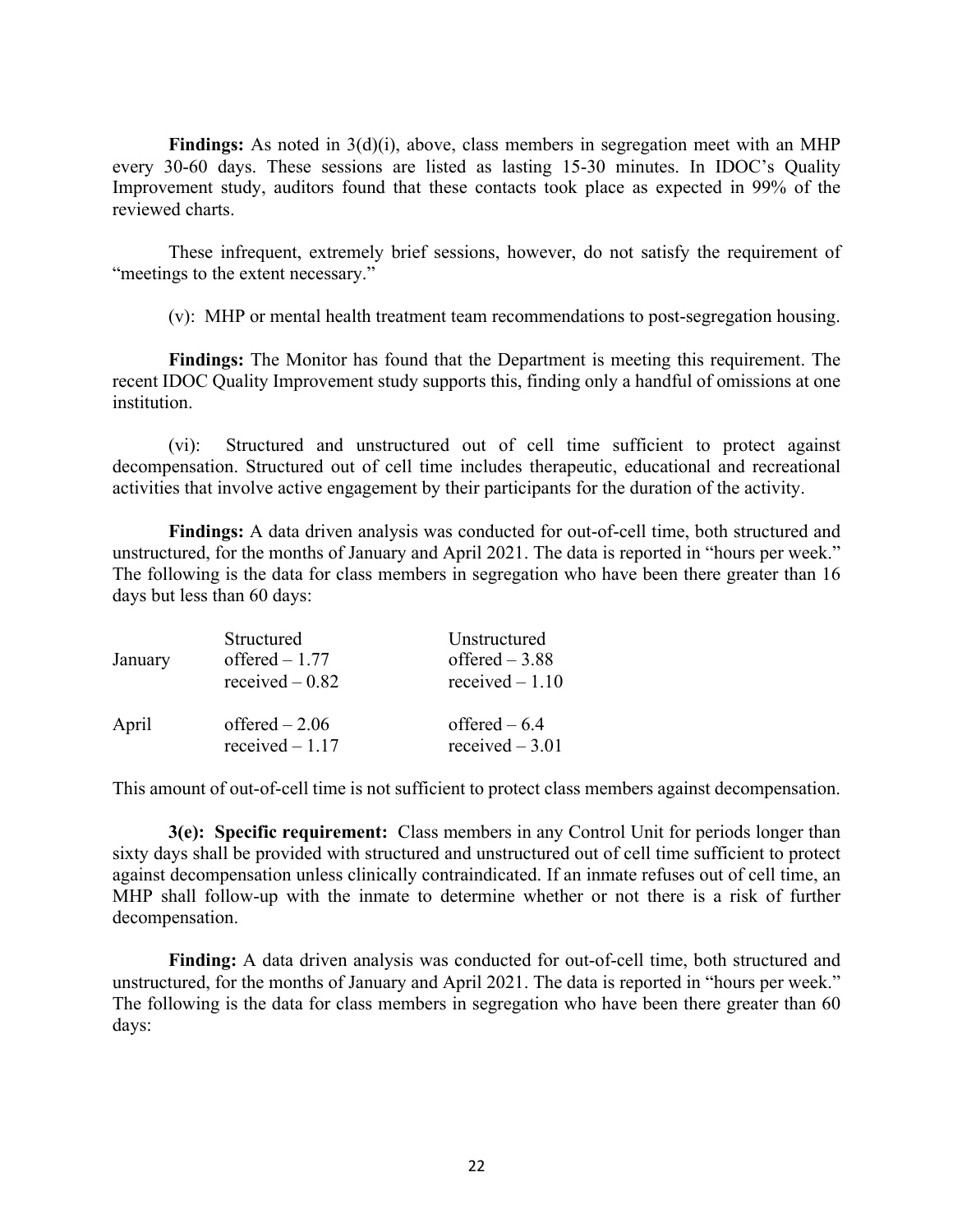**Findings:** As noted in 3(d)(i), above, class members in segregation meet with an MHP every 30-60 days. These sessions are listed as lasting 15-30 minutes. In IDOC's Quality Improvement study, auditors found that these contacts took place as expected in 99% of the reviewed charts.

These infrequent, extremely brief sessions, however, do not satisfy the requirement of "meetings to the extent necessary."

(v): MHP or mental health treatment team recommendations to post-segregation housing.

**Findings:** The Monitor has found that the Department is meeting this requirement. The recent IDOC Quality Improvement study supports this, finding only a handful of omissions at one institution.

(vi): Structured and unstructured out of cell time sufficient to protect against decompensation. Structured out of cell time includes therapeutic, educational and recreational activities that involve active engagement by their participants for the duration of the activity.

**Findings:** A data driven analysis was conducted for out-of-cell time, both structured and unstructured, for the months of January and April 2021. The data is reported in "hours per week." The following is the data for class members in segregation who have been there greater than 16 days but less than 60 days:

| January | Structured<br>offered $-1.77$<br>received $-0.82$ | Unstructured<br>offered $-3.88$<br>received $-1.10$ |
|---------|---------------------------------------------------|-----------------------------------------------------|
| April   | offered $-2.06$<br>received $-1.17$               | offered $-6.4$<br>received $-3.01$                  |

This amount of out-of-cell time is not sufficient to protect class members against decompensation.

**3(e): Specific requirement:** Class members in any Control Unit for periods longer than sixty days shall be provided with structured and unstructured out of cell time sufficient to protect against decompensation unless clinically contraindicated. If an inmate refuses out of cell time, an MHP shall follow-up with the inmate to determine whether or not there is a risk of further decompensation.

**Finding:** A data driven analysis was conducted for out-of-cell time, both structured and unstructured, for the months of January and April 2021. The data is reported in "hours per week." The following is the data for class members in segregation who have been there greater than 60 days: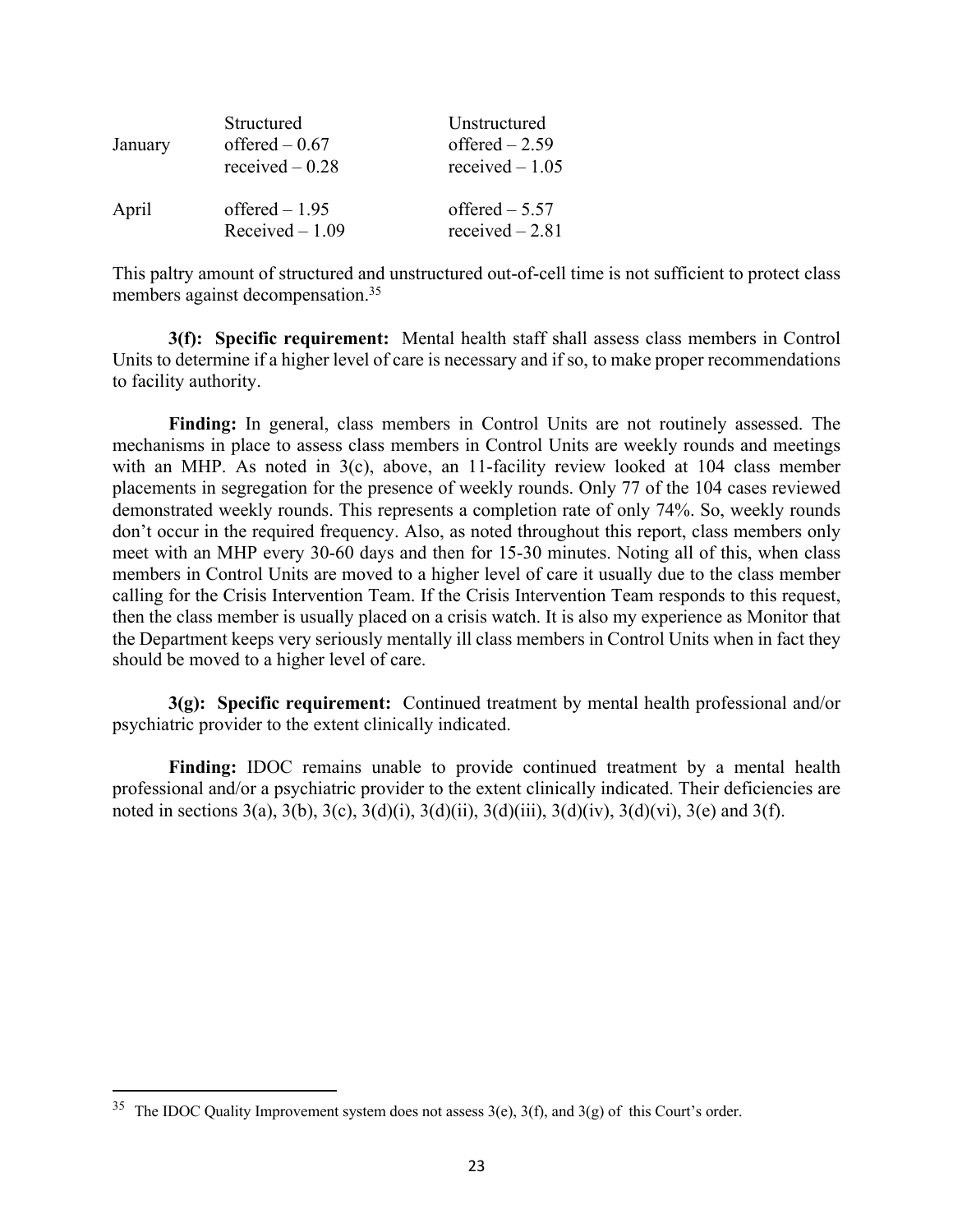| January | Structured<br>offered $-0.67$<br>received $-0.28$ | Unstructured<br>offered $-2.59$<br>received $-1.05$ |
|---------|---------------------------------------------------|-----------------------------------------------------|
| April   | offered $-1.95$<br>Received $-1.09$               | offered $-5.57$<br>received $-2.81$                 |

This paltry amount of structured and unstructured out-of-cell time is not sufficient to protect class members against decompensation.<sup>35</sup>

**3(f): Specific requirement:** Mental health staff shall assess class members in Control Units to determine if a higher level of care is necessary and if so, to make proper recommendations to facility authority.

**Finding:** In general, class members in Control Units are not routinely assessed. The mechanisms in place to assess class members in Control Units are weekly rounds and meetings with an MHP. As noted in 3(c), above, an 11-facility review looked at 104 class member placements in segregation for the presence of weekly rounds. Only 77 of the 104 cases reviewed demonstrated weekly rounds. This represents a completion rate of only 74%. So, weekly rounds don't occur in the required frequency. Also, as noted throughout this report, class members only meet with an MHP every 30-60 days and then for 15-30 minutes. Noting all of this, when class members in Control Units are moved to a higher level of care it usually due to the class member calling for the Crisis Intervention Team. If the Crisis Intervention Team responds to this request, then the class member is usually placed on a crisis watch. It is also my experience as Monitor that the Department keeps very seriously mentally ill class members in Control Units when in fact they should be moved to a higher level of care.

**3(g): Specific requirement:** Continued treatment by mental health professional and/or psychiatric provider to the extent clinically indicated.

**Finding:** IDOC remains unable to provide continued treatment by a mental health professional and/or a psychiatric provider to the extent clinically indicated. Their deficiencies are noted in sections 3(a), 3(b), 3(c), 3(d)(i), 3(d)(ii), 3(d)(iii), 3(d)(iv), 3(d)(vi), 3(e) and 3(f).

<sup>&</sup>lt;sup>35</sup> The IDOC Quality Improvement system does not assess  $3(e)$ ,  $3(f)$ , and  $3(g)$  of this Court's order.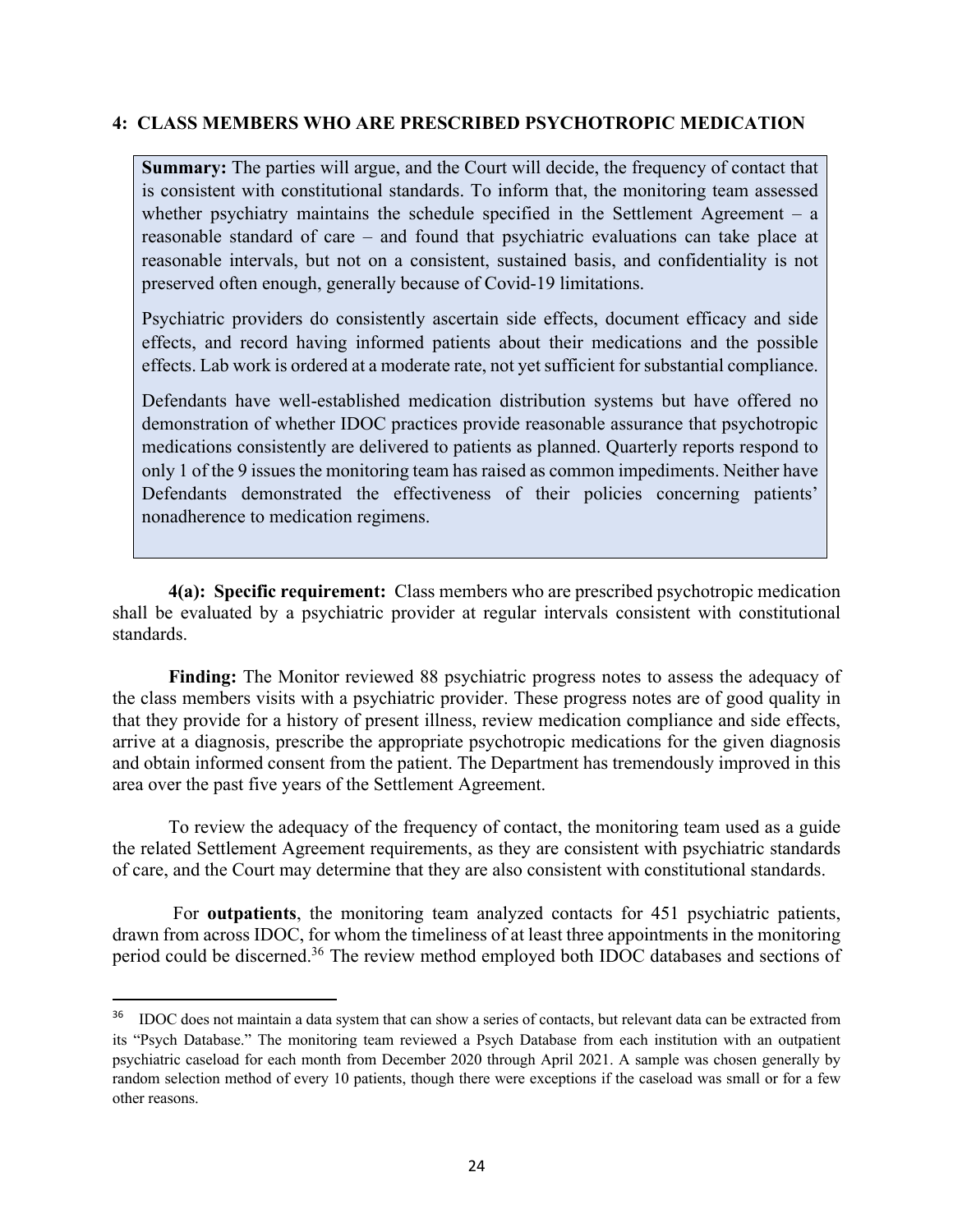## **4: CLASS MEMBERS WHO ARE PRESCRIBED PSYCHOTROPIC MEDICATION**

**Summary:** The parties will argue, and the Court will decide, the frequency of contact that is consistent with constitutional standards. To inform that, the monitoring team assessed whether psychiatry maintains the schedule specified in the Settlement Agreement –  $a$ reasonable standard of care – and found that psychiatric evaluations can take place at reasonable intervals, but not on a consistent, sustained basis, and confidentiality is not preserved often enough, generally because of Covid-19 limitations.

Psychiatric providers do consistently ascertain side effects, document efficacy and side effects, and record having informed patients about their medications and the possible effects. Lab work is ordered at a moderate rate, not yet sufficient for substantial compliance.

Defendants have well-established medication distribution systems but have offered no demonstration of whether IDOC practices provide reasonable assurance that psychotropic medications consistently are delivered to patients as planned. Quarterly reports respond to only 1 of the 9 issues the monitoring team has raised as common impediments. Neither have Defendants demonstrated the effectiveness of their policies concerning patients' nonadherence to medication regimens.

**4(a): Specific requirement:** Class members who are prescribed psychotropic medication shall be evaluated by a psychiatric provider at regular intervals consistent with constitutional standards.

**Finding:** The Monitor reviewed 88 psychiatric progress notes to assess the adequacy of the class members visits with a psychiatric provider. These progress notes are of good quality in that they provide for a history of present illness, review medication compliance and side effects, arrive at a diagnosis, prescribe the appropriate psychotropic medications for the given diagnosis and obtain informed consent from the patient. The Department has tremendously improved in this area over the past five years of the Settlement Agreement.

To review the adequacy of the frequency of contact, the monitoring team used as a guide the related Settlement Agreement requirements, as they are consistent with psychiatric standards of care, and the Court may determine that they are also consistent with constitutional standards.

For **outpatients**, the monitoring team analyzed contacts for 451 psychiatric patients, drawn from across IDOC, for whom the timeliness of at least three appointments in the monitoring period could be discerned.<sup>36</sup> The review method employed both IDOC databases and sections of

<sup>&</sup>lt;sup>36</sup> IDOC does not maintain a data system that can show a series of contacts, but relevant data can be extracted from its "Psych Database." The monitoring team reviewed a Psych Database from each institution with an outpatient psychiatric caseload for each month from December 2020 through April 2021. A sample was chosen generally by random selection method of every 10 patients, though there were exceptions if the caseload was small or for a few other reasons.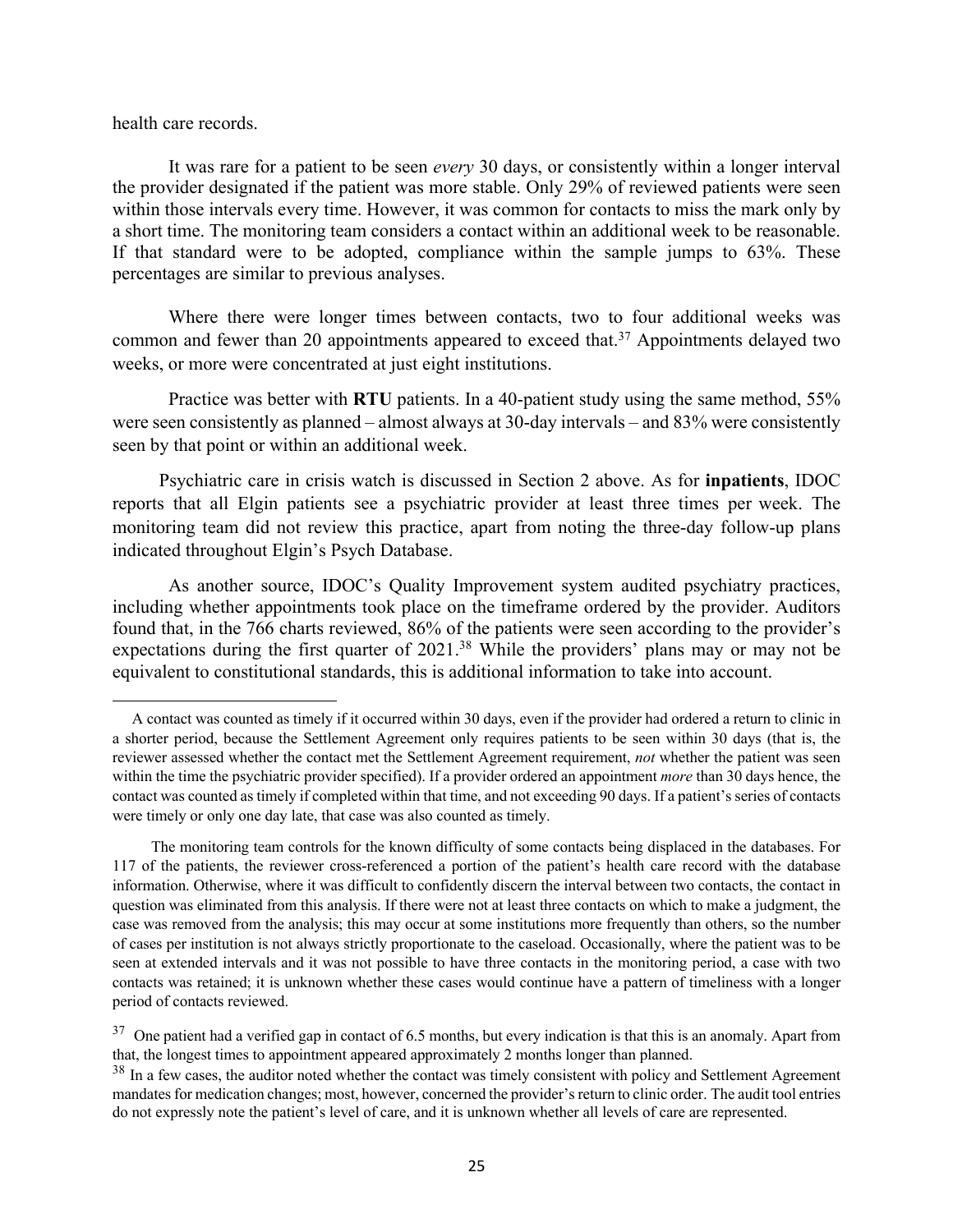health care records.

It was rare for a patient to be seen *every* 30 days, or consistently within a longer interval the provider designated if the patient was more stable. Only 29% of reviewed patients were seen within those intervals every time. However, it was common for contacts to miss the mark only by a short time. The monitoring team considers a contact within an additional week to be reasonable. If that standard were to be adopted, compliance within the sample jumps to 63%. These percentages are similar to previous analyses.

Where there were longer times between contacts, two to four additional weeks was common and fewer than 20 appointments appeared to exceed that.<sup>37</sup> Appointments delayed two weeks, or more were concentrated at just eight institutions.

Practice was better with **RTU** patients. In a 40-patient study using the same method, 55% were seen consistently as planned – almost always at 30-day intervals – and 83% were consistently seen by that point or within an additional week.

 Psychiatric care in crisis watch is discussed in Section 2 above. As for **inpatients**, IDOC reports that all Elgin patients see a psychiatric provider at least three times per week. The monitoring team did not review this practice, apart from noting the three-day follow-up plans indicated throughout Elgin's Psych Database.

As another source, IDOC's Quality Improvement system audited psychiatry practices, including whether appointments took place on the timeframe ordered by the provider. Auditors found that, in the 766 charts reviewed, 86% of the patients were seen according to the provider's expectations during the first quarter of 2021.<sup>38</sup> While the providers' plans may or may not be equivalent to constitutional standards, this is additional information to take into account.

A contact was counted as timely if it occurred within 30 days, even if the provider had ordered a return to clinic in a shorter period, because the Settlement Agreement only requires patients to be seen within 30 days (that is, the reviewer assessed whether the contact met the Settlement Agreement requirement, *not* whether the patient was seen within the time the psychiatric provider specified). If a provider ordered an appointment *more* than 30 days hence, the contact was counted as timely if completed within that time, and not exceeding 90 days. If a patient's series of contacts were timely or only one day late, that case was also counted as timely.

The monitoring team controls for the known difficulty of some contacts being displaced in the databases. For 117 of the patients, the reviewer cross-referenced a portion of the patient's health care record with the database information. Otherwise, where it was difficult to confidently discern the interval between two contacts, the contact in question was eliminated from this analysis. If there were not at least three contacts on which to make a judgment, the case was removed from the analysis; this may occur at some institutions more frequently than others, so the number of cases per institution is not always strictly proportionate to the caseload. Occasionally, where the patient was to be seen at extended intervals and it was not possible to have three contacts in the monitoring period, a case with two contacts was retained; it is unknown whether these cases would continue have a pattern of timeliness with a longer period of contacts reviewed.

 $37$  One patient had a verified gap in contact of 6.5 months, but every indication is that this is an anomaly. Apart from that, the longest times to appointment appeared approximately 2 months longer than planned.

<sup>&</sup>lt;sup>38</sup> In a few cases, the auditor noted whether the contact was timely consistent with policy and Settlement Agreement mandates for medication changes; most, however, concerned the provider's return to clinic order. The audit tool entries do not expressly note the patient's level of care, and it is unknown whether all levels of care are represented.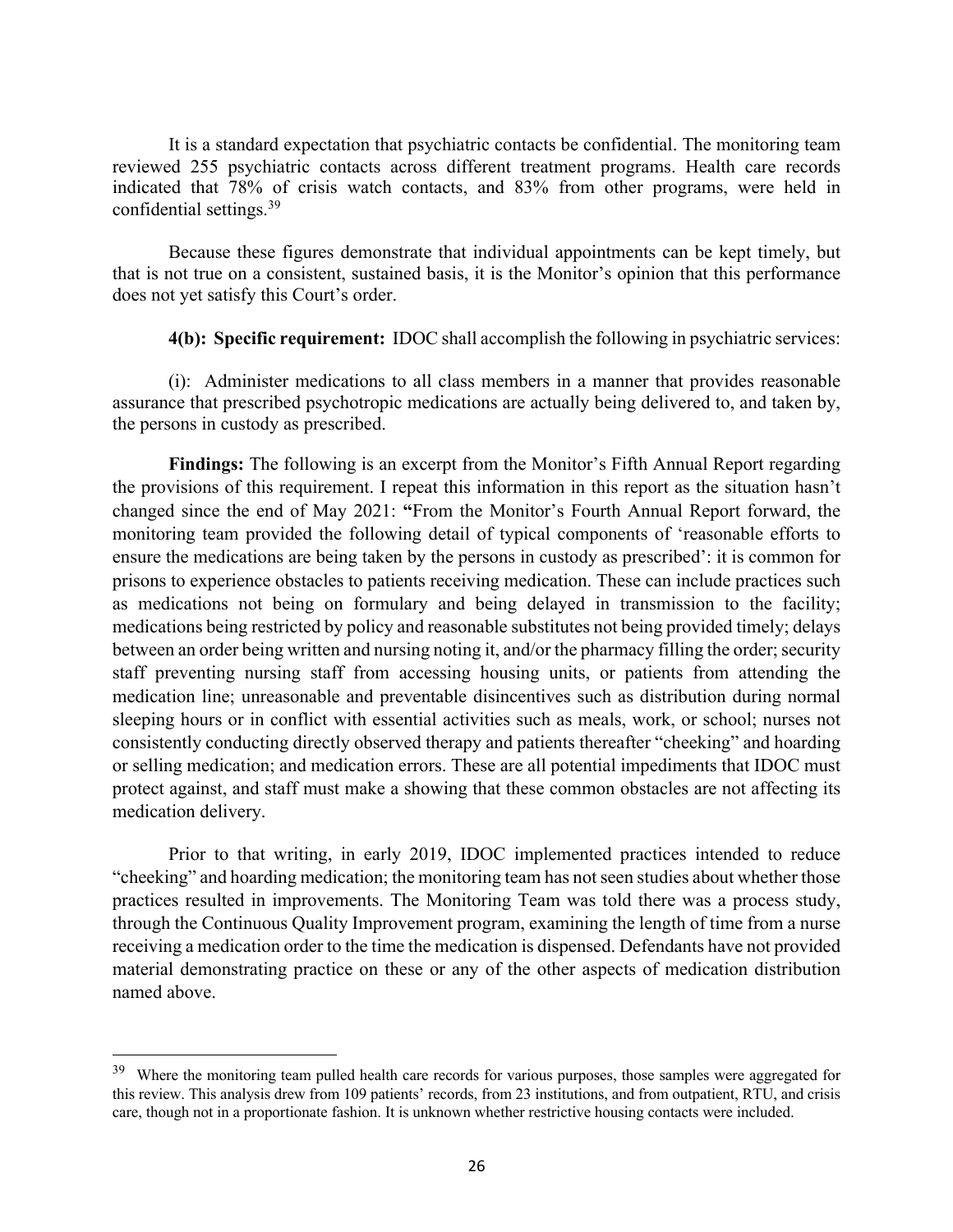It is a standard expectation that psychiatric contacts be confidential. The monitoring team reviewed 255 psychiatric contacts across different treatment programs. Health care records indicated that 78% of crisis watch contacts, and 83% from other programs, were held in confidential settings.39

Because these figures demonstrate that individual appointments can be kept timely, but that is not true on a consistent, sustained basis, it is the Monitor's opinion that this performance does not yet satisfy this Court's order.

**4(b): Specific requirement:** IDOC shall accomplish the following in psychiatric services:

(i): Administer medications to all class members in a manner that provides reasonable assurance that prescribed psychotropic medications are actually being delivered to, and taken by, the persons in custody as prescribed.

**Findings:** The following is an excerpt from the Monitor's Fifth Annual Report regarding the provisions of this requirement. I repeat this information in this report as the situation hasn't changed since the end of May 2021: **"**From the Monitor's Fourth Annual Report forward, the monitoring team provided the following detail of typical components of 'reasonable efforts to ensure the medications are being taken by the persons in custody as prescribed': it is common for prisons to experience obstacles to patients receiving medication. These can include practices such as medications not being on formulary and being delayed in transmission to the facility; medications being restricted by policy and reasonable substitutes not being provided timely; delays between an order being written and nursing noting it, and/or the pharmacy filling the order; security staff preventing nursing staff from accessing housing units, or patients from attending the medication line; unreasonable and preventable disincentives such as distribution during normal sleeping hours or in conflict with essential activities such as meals, work, or school; nurses not consistently conducting directly observed therapy and patients thereafter "cheeking" and hoarding or selling medication; and medication errors. These are all potential impediments that IDOC must protect against, and staff must make a showing that these common obstacles are not affecting its medication delivery.

Prior to that writing, in early 2019, IDOC implemented practices intended to reduce "cheeking" and hoarding medication; the monitoring team has not seen studies about whether those practices resulted in improvements. The Monitoring Team was told there was a process study, through the Continuous Quality Improvement program, examining the length of time from a nurse receiving a medication order to the time the medication is dispensed. Defendants have not provided material demonstrating practice on these or any of the other aspects of medication distribution named above.

<sup>&</sup>lt;sup>39</sup> Where the monitoring team pulled health care records for various purposes, those samples were aggregated for this review. This analysis drew from 109 patients' records, from 23 institutions, and from outpatient, RTU, and crisis care, though not in a proportionate fashion. It is unknown whether restrictive housing contacts were included.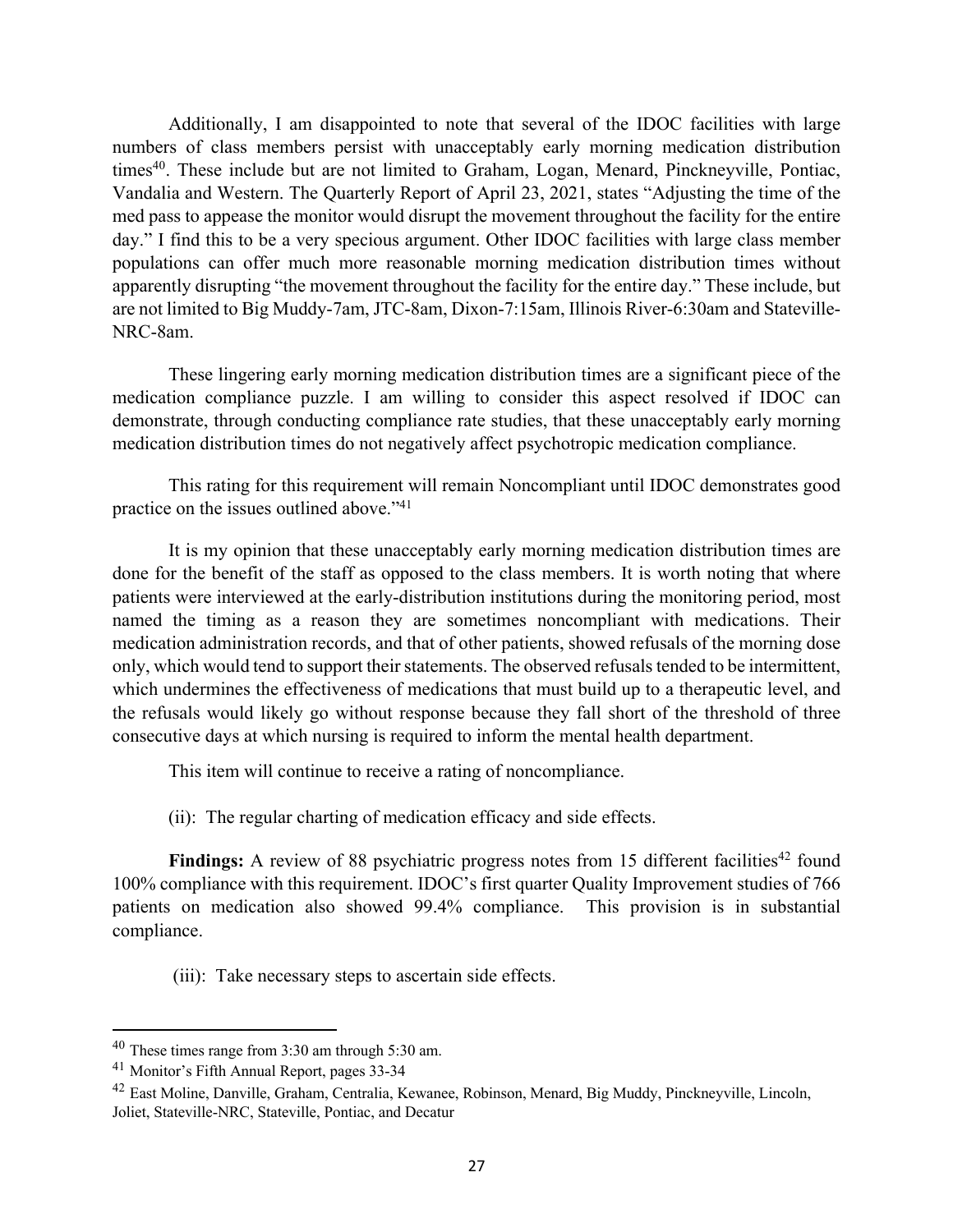Additionally, I am disappointed to note that several of the IDOC facilities with large numbers of class members persist with unacceptably early morning medication distribution times<sup>40</sup>. These include but are not limited to Graham, Logan, Menard, Pinckneyville, Pontiac, Vandalia and Western. The Quarterly Report of April 23, 2021, states "Adjusting the time of the med pass to appease the monitor would disrupt the movement throughout the facility for the entire day." I find this to be a very specious argument. Other IDOC facilities with large class member populations can offer much more reasonable morning medication distribution times without apparently disrupting "the movement throughout the facility for the entire day." These include, but are not limited to Big Muddy-7am, JTC-8am, Dixon-7:15am, Illinois River-6:30am and Stateville-NRC-8am.

These lingering early morning medication distribution times are a significant piece of the medication compliance puzzle. I am willing to consider this aspect resolved if IDOC can demonstrate, through conducting compliance rate studies, that these unacceptably early morning medication distribution times do not negatively affect psychotropic medication compliance.

This rating for this requirement will remain Noncompliant until IDOC demonstrates good practice on the issues outlined above."41

It is my opinion that these unacceptably early morning medication distribution times are done for the benefit of the staff as opposed to the class members. It is worth noting that where patients were interviewed at the early-distribution institutions during the monitoring period, most named the timing as a reason they are sometimes noncompliant with medications. Their medication administration records, and that of other patients, showed refusals of the morning dose only, which would tend to support their statements. The observed refusals tended to be intermittent, which undermines the effectiveness of medications that must build up to a therapeutic level, and the refusals would likely go without response because they fall short of the threshold of three consecutive days at which nursing is required to inform the mental health department.

This item will continue to receive a rating of noncompliance.

(ii): The regular charting of medication efficacy and side effects.

**Findings:** A review of 88 psychiatric progress notes from 15 different facilities<sup>42</sup> found 100% compliance with this requirement. IDOC's first quarter Quality Improvement studies of 766 patients on medication also showed 99.4% compliance. This provision is in substantial compliance.

(iii): Take necessary steps to ascertain side effects.

<sup>40</sup> These times range from 3:30 am through 5:30 am.

<sup>41</sup> Monitor's Fifth Annual Report, pages 33-34

<sup>42</sup> East Moline, Danville, Graham, Centralia, Kewanee, Robinson, Menard, Big Muddy, Pinckneyville, Lincoln, Joliet, Stateville-NRC, Stateville, Pontiac, and Decatur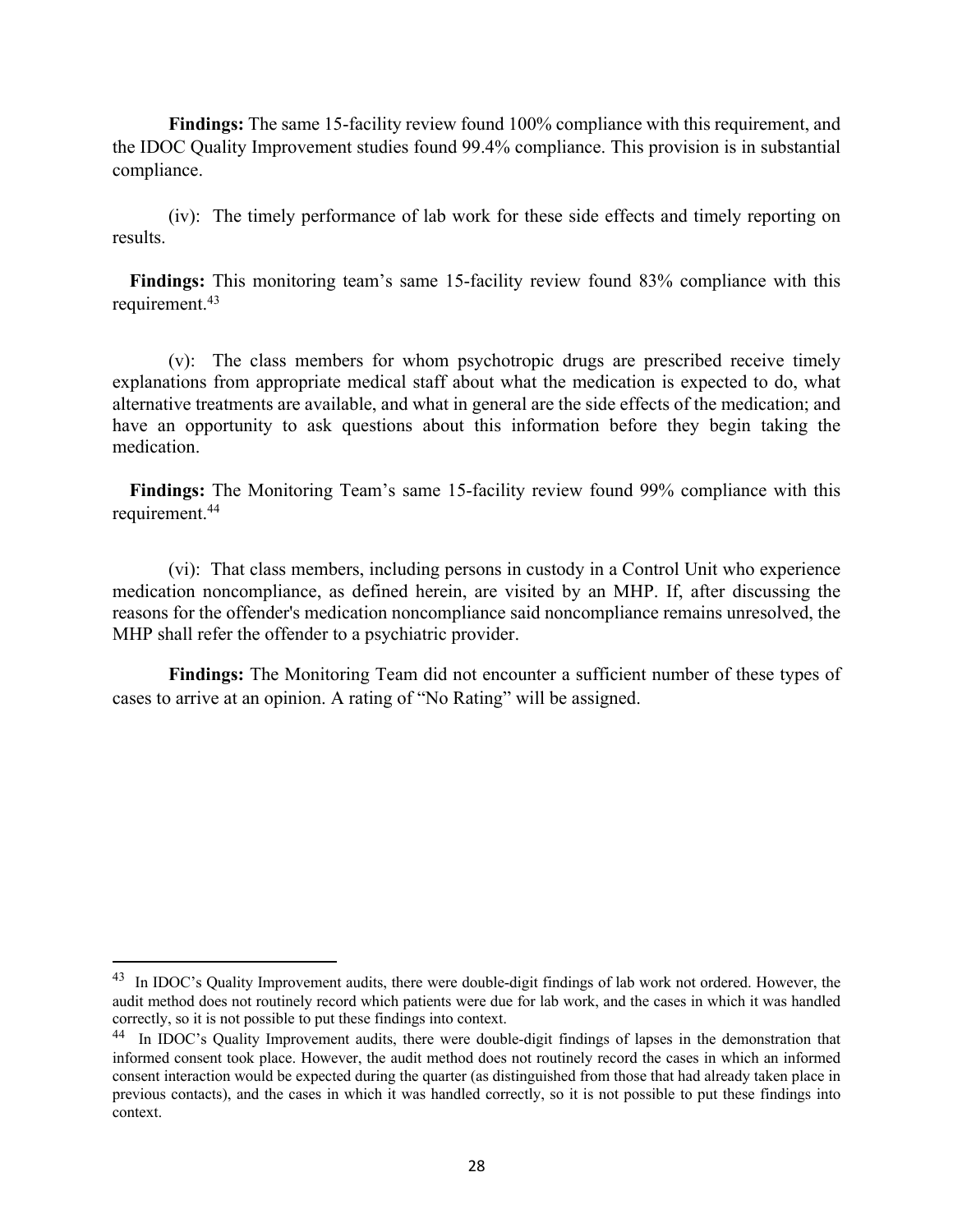**Findings:** The same 15-facility review found 100% compliance with this requirement, and the IDOC Quality Improvement studies found 99.4% compliance. This provision is in substantial compliance.

(iv): The timely performance of lab work for these side effects and timely reporting on results.

**Findings:** This monitoring team's same 15-facility review found 83% compliance with this requirement.43

(v): The class members for whom psychotropic drugs are prescribed receive timely explanations from appropriate medical staff about what the medication is expected to do, what alternative treatments are available, and what in general are the side effects of the medication; and have an opportunity to ask questions about this information before they begin taking the medication.

**Findings:** The Monitoring Team's same 15-facility review found 99% compliance with this requirement.44

(vi): That class members, including persons in custody in a Control Unit who experience medication noncompliance, as defined herein, are visited by an MHP. If, after discussing the reasons for the offender's medication noncompliance said noncompliance remains unresolved, the MHP shall refer the offender to a psychiatric provider.

**Findings:** The Monitoring Team did not encounter a sufficient number of these types of cases to arrive at an opinion. A rating of "No Rating" will be assigned.

<sup>&</sup>lt;sup>43</sup> In IDOC's Quality Improvement audits, there were double-digit findings of lab work not ordered. However, the audit method does not routinely record which patients were due for lab work, and the cases in which it was handled correctly, so it is not possible to put these findings into context.

<sup>44</sup> In IDOC's Quality Improvement audits, there were double-digit findings of lapses in the demonstration that informed consent took place. However, the audit method does not routinely record the cases in which an informed consent interaction would be expected during the quarter (as distinguished from those that had already taken place in previous contacts), and the cases in which it was handled correctly, so it is not possible to put these findings into context.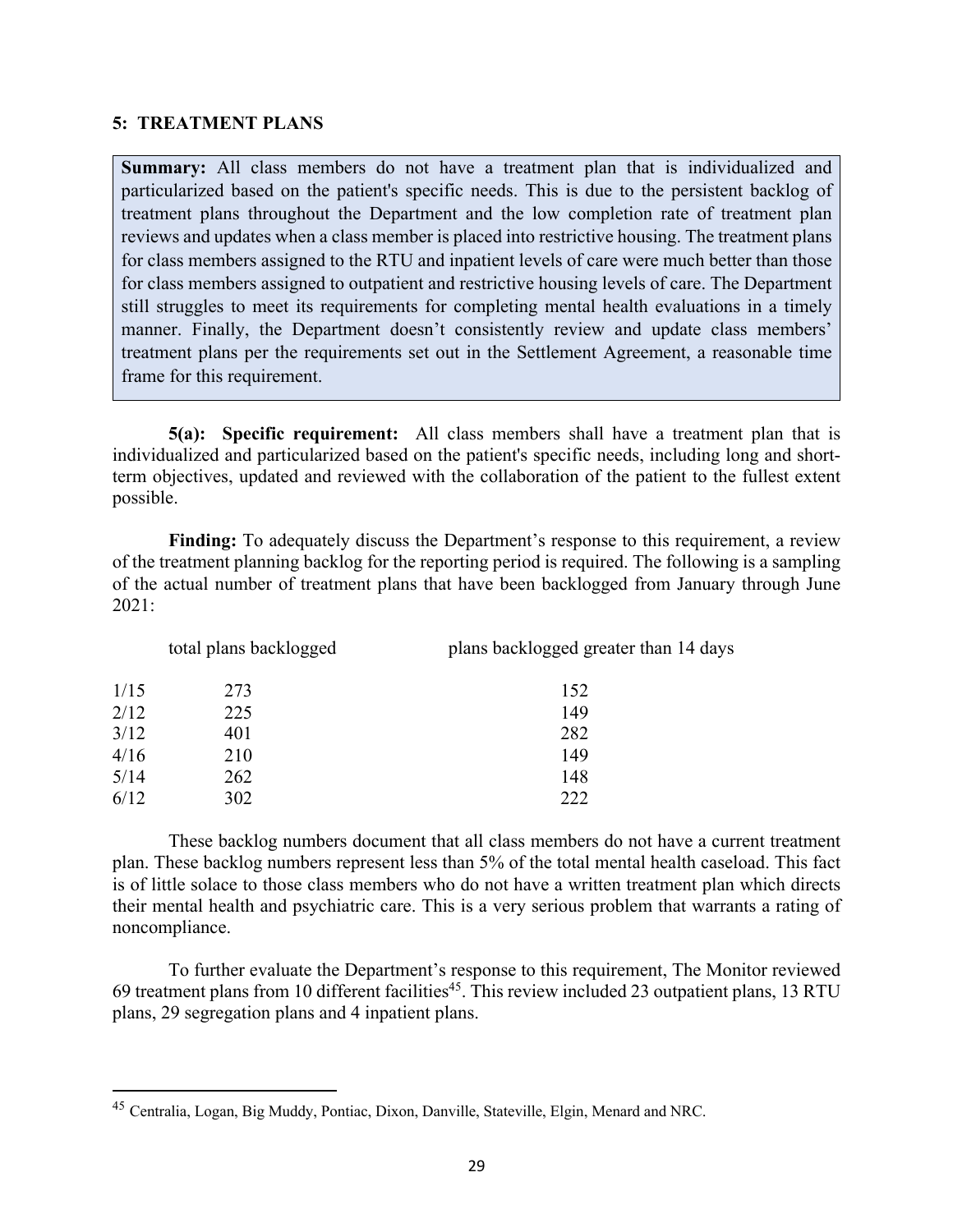#### **5: TREATMENT PLANS**

**Summary:** All class members do not have a treatment plan that is individualized and particularized based on the patient's specific needs. This is due to the persistent backlog of treatment plans throughout the Department and the low completion rate of treatment plan reviews and updates when a class member is placed into restrictive housing. The treatment plans for class members assigned to the RTU and inpatient levels of care were much better than those for class members assigned to outpatient and restrictive housing levels of care. The Department still struggles to meet its requirements for completing mental health evaluations in a timely manner. Finally, the Department doesn't consistently review and update class members' treatment plans per the requirements set out in the Settlement Agreement, a reasonable time frame for this requirement.

**5(a): Specific requirement:** All class members shall have a treatment plan that is individualized and particularized based on the patient's specific needs, including long and shortterm objectives, updated and reviewed with the collaboration of the patient to the fullest extent possible.

**Finding:** To adequately discuss the Department's response to this requirement, a review of the treatment planning backlog for the reporting period is required. The following is a sampling of the actual number of treatment plans that have been backlogged from January through June 2021:

| total plans backlogged |     | plans backlogged greater than 14 days |  |
|------------------------|-----|---------------------------------------|--|
| 1/15                   | 273 | 152                                   |  |
| 2/12                   | 225 | 149                                   |  |
| 3/12                   | 401 | 282                                   |  |
| 4/16                   | 210 | 149                                   |  |
| 5/14                   | 262 | 148                                   |  |
| 6/12                   | 302 | 222                                   |  |

These backlog numbers document that all class members do not have a current treatment plan. These backlog numbers represent less than 5% of the total mental health caseload. This fact is of little solace to those class members who do not have a written treatment plan which directs their mental health and psychiatric care. This is a very serious problem that warrants a rating of noncompliance.

To further evaluate the Department's response to this requirement, The Monitor reviewed 69 treatment plans from 10 different facilities<sup>45</sup>. This review included 23 outpatient plans, 13 RTU plans, 29 segregation plans and 4 inpatient plans.

<sup>45</sup> Centralia, Logan, Big Muddy, Pontiac, Dixon, Danville, Stateville, Elgin, Menard and NRC.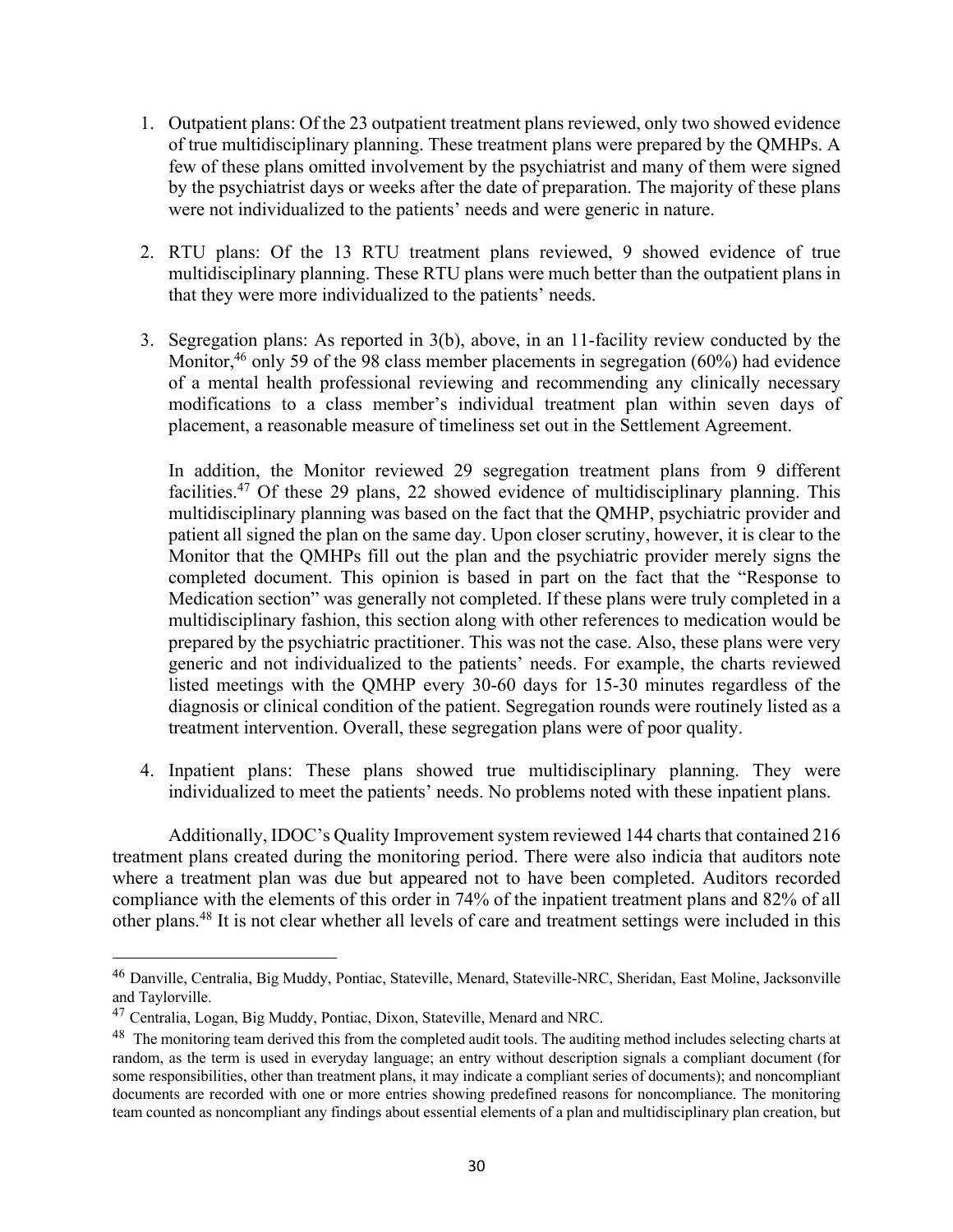- 1. Outpatient plans: Of the 23 outpatient treatment plans reviewed, only two showed evidence of true multidisciplinary planning. These treatment plans were prepared by the QMHPs. A few of these plans omitted involvement by the psychiatrist and many of them were signed by the psychiatrist days or weeks after the date of preparation. The majority of these plans were not individualized to the patients' needs and were generic in nature.
- 2. RTU plans: Of the 13 RTU treatment plans reviewed, 9 showed evidence of true multidisciplinary planning. These RTU plans were much better than the outpatient plans in that they were more individualized to the patients' needs.
- 3. Segregation plans: As reported in 3(b), above, in an 11-facility review conducted by the Monitor,  $46$  only 59 of the 98 class member placements in segregation (60%) had evidence of a mental health professional reviewing and recommending any clinically necessary modifications to a class member's individual treatment plan within seven days of placement, a reasonable measure of timeliness set out in the Settlement Agreement.

In addition, the Monitor reviewed 29 segregation treatment plans from 9 different facilities.47 Of these 29 plans, 22 showed evidence of multidisciplinary planning. This multidisciplinary planning was based on the fact that the QMHP, psychiatric provider and patient all signed the plan on the same day. Upon closer scrutiny, however, it is clear to the Monitor that the QMHPs fill out the plan and the psychiatric provider merely signs the completed document. This opinion is based in part on the fact that the "Response to Medication section" was generally not completed. If these plans were truly completed in a multidisciplinary fashion, this section along with other references to medication would be prepared by the psychiatric practitioner. This was not the case. Also, these plans were very generic and not individualized to the patients' needs. For example, the charts reviewed listed meetings with the QMHP every 30-60 days for 15-30 minutes regardless of the diagnosis or clinical condition of the patient. Segregation rounds were routinely listed as a treatment intervention. Overall, these segregation plans were of poor quality.

4. Inpatient plans: These plans showed true multidisciplinary planning. They were individualized to meet the patients' needs. No problems noted with these inpatient plans.

Additionally, IDOC's Quality Improvement system reviewed 144 charts that contained 216 treatment plans created during the monitoring period. There were also indicia that auditors note where a treatment plan was due but appeared not to have been completed. Auditors recorded compliance with the elements of this order in 74% of the inpatient treatment plans and 82% of all other plans. <sup>48</sup> It is not clear whether all levels of care and treatment settings were included in this

<sup>46</sup> Danville, Centralia, Big Muddy, Pontiac, Stateville, Menard, Stateville-NRC, Sheridan, East Moline, Jacksonville and Taylorville.

<sup>47</sup> Centralia, Logan, Big Muddy, Pontiac, Dixon, Stateville, Menard and NRC.

<sup>&</sup>lt;sup>48</sup> The monitoring team derived this from the completed audit tools. The auditing method includes selecting charts at random, as the term is used in everyday language; an entry without description signals a compliant document (for some responsibilities, other than treatment plans, it may indicate a compliant series of documents); and noncompliant documents are recorded with one or more entries showing predefined reasons for noncompliance. The monitoring team counted as noncompliant any findings about essential elements of a plan and multidisciplinary plan creation, but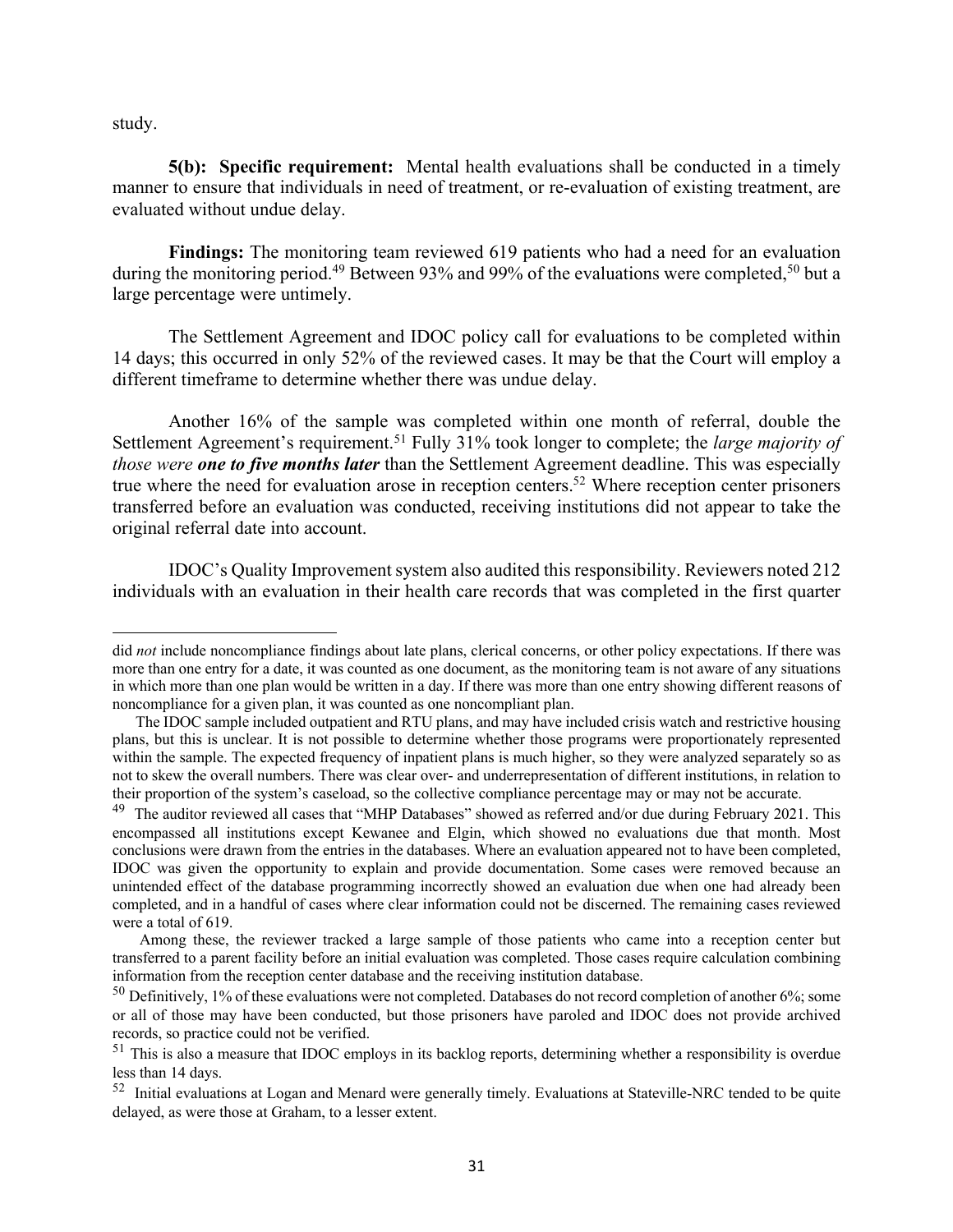study.

**5(b): Specific requirement:** Mental health evaluations shall be conducted in a timely manner to ensure that individuals in need of treatment, or re-evaluation of existing treatment, are evaluated without undue delay.

**Findings:** The monitoring team reviewed 619 patients who had a need for an evaluation during the monitoring period.<sup>49</sup> Between 93% and 99% of the evaluations were completed,<sup>50</sup> but a large percentage were untimely.

The Settlement Agreement and IDOC policy call for evaluations to be completed within 14 days; this occurred in only 52% of the reviewed cases. It may be that the Court will employ a different timeframe to determine whether there was undue delay.

Another 16% of the sample was completed within one month of referral, double the Settlement Agreement's requirement.51 Fully 31% took longer to complete; the *large majority of those were one to five months later* than the Settlement Agreement deadline. This was especially true where the need for evaluation arose in reception centers.<sup>52</sup> Where reception center prisoners transferred before an evaluation was conducted, receiving institutions did not appear to take the original referral date into account.

IDOC's Quality Improvement system also audited this responsibility. Reviewers noted 212 individuals with an evaluation in their health care records that was completed in the first quarter

did *not* include noncompliance findings about late plans, clerical concerns, or other policy expectations. If there was more than one entry for a date, it was counted as one document, as the monitoring team is not aware of any situations in which more than one plan would be written in a day. If there was more than one entry showing different reasons of noncompliance for a given plan, it was counted as one noncompliant plan.

The IDOC sample included outpatient and RTU plans, and may have included crisis watch and restrictive housing plans, but this is unclear. It is not possible to determine whether those programs were proportionately represented within the sample. The expected frequency of inpatient plans is much higher, so they were analyzed separately so as not to skew the overall numbers. There was clear over- and underrepresentation of different institutions, in relation to their proportion of the system's caseload, so the collective compliance percentage may or may not be accurate.

<sup>&</sup>lt;sup>49</sup> The auditor reviewed all cases that "MHP Databases" showed as referred and/or due during February 2021. This encompassed all institutions except Kewanee and Elgin, which showed no evaluations due that month. Most conclusions were drawn from the entries in the databases. Where an evaluation appeared not to have been completed, IDOC was given the opportunity to explain and provide documentation. Some cases were removed because an unintended effect of the database programming incorrectly showed an evaluation due when one had already been completed, and in a handful of cases where clear information could not be discerned. The remaining cases reviewed were a total of 619.

Among these, the reviewer tracked a large sample of those patients who came into a reception center but transferred to a parent facility before an initial evaluation was completed. Those cases require calculation combining information from the reception center database and the receiving institution database.

<sup>&</sup>lt;sup>50</sup> Definitively, 1% of these evaluations were not completed. Databases do not record completion of another 6%; some or all of those may have been conducted, but those prisoners have paroled and IDOC does not provide archived records, so practice could not be verified.

 $51$  This is also a measure that IDOC employs in its backlog reports, determining whether a responsibility is overdue less than 14 days.

<sup>52</sup> Initial evaluations at Logan and Menard were generally timely. Evaluations at Stateville-NRC tended to be quite delayed, as were those at Graham, to a lesser extent.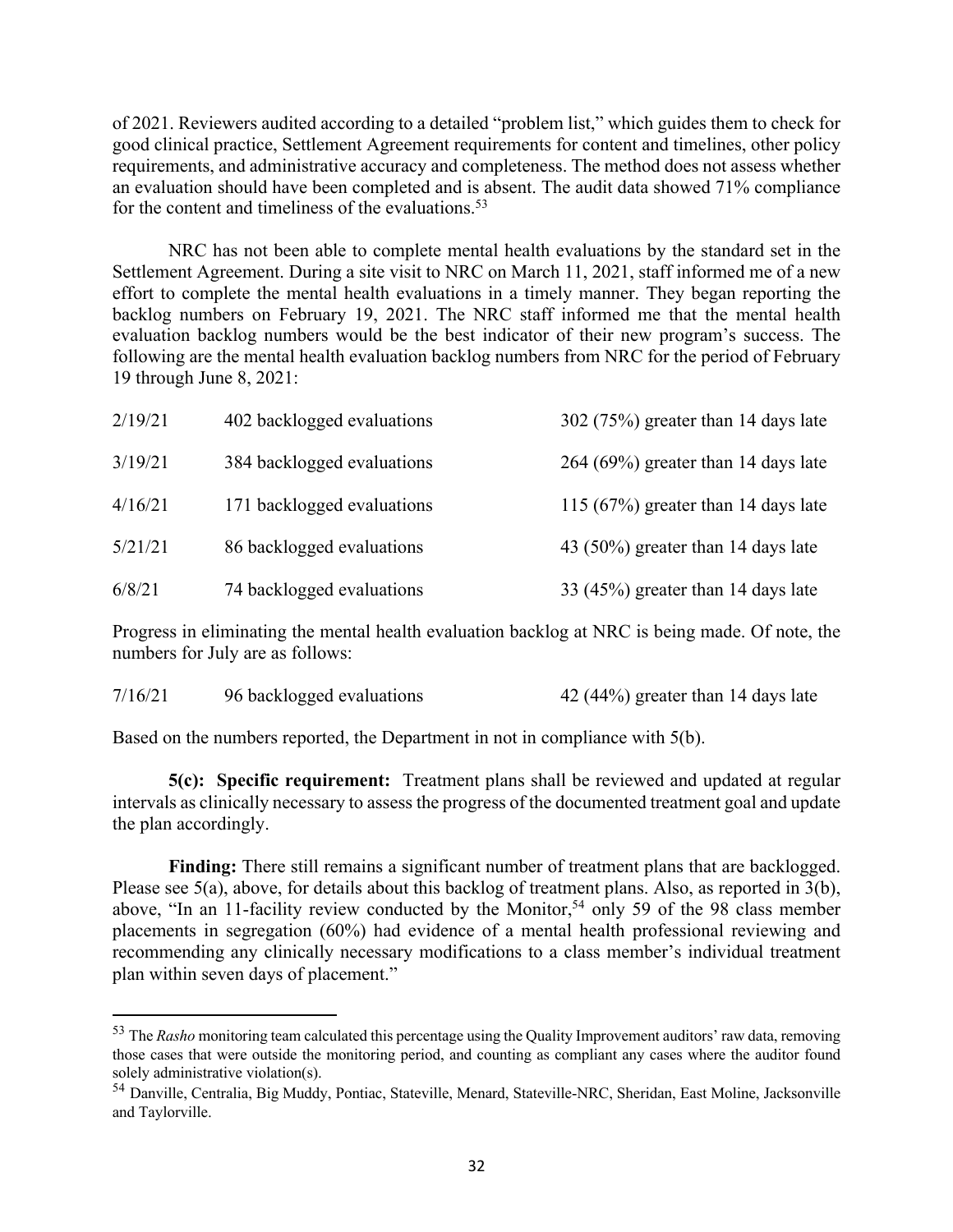of 2021. Reviewers audited according to a detailed "problem list," which guides them to check for good clinical practice, Settlement Agreement requirements for content and timelines, other policy requirements, and administrative accuracy and completeness. The method does not assess whether an evaluation should have been completed and is absent. The audit data showed 71% compliance for the content and timeliness of the evaluations. $53$ 

NRC has not been able to complete mental health evaluations by the standard set in the Settlement Agreement. During a site visit to NRC on March 11, 2021, staff informed me of a new effort to complete the mental health evaluations in a timely manner. They began reporting the backlog numbers on February 19, 2021. The NRC staff informed me that the mental health evaluation backlog numbers would be the best indicator of their new program's success. The following are the mental health evaluation backlog numbers from NRC for the period of February 19 through June 8, 2021:

| 2/19/21 | 402 backlogged evaluations | 302 (75%) greater than 14 days late   |
|---------|----------------------------|---------------------------------------|
| 3/19/21 | 384 backlogged evaluations | $264 (69%)$ greater than 14 days late |
| 4/16/21 | 171 backlogged evaluations | 115 (67%) greater than 14 days late   |
| 5/21/21 | 86 backlogged evaluations  | 43 (50%) greater than 14 days late    |
| 6/8/21  | 74 backlogged evaluations  | 33 (45%) greater than 14 days late    |

Progress in eliminating the mental health evaluation backlog at NRC is being made. Of note, the numbers for July are as follows:

| 7/16/21<br>96 backlogged evaluations | 42 (44%) greater than 14 days late |
|--------------------------------------|------------------------------------|
|--------------------------------------|------------------------------------|

Based on the numbers reported, the Department in not in compliance with 5(b).

**5(c): Specific requirement:** Treatment plans shall be reviewed and updated at regular intervals as clinically necessary to assess the progress of the documented treatment goal and update the plan accordingly.

**Finding:** There still remains a significant number of treatment plans that are backlogged. Please see 5(a), above, for details about this backlog of treatment plans. Also, as reported in 3(b), above, "In an 11-facility review conducted by the Monitor,<sup>54</sup> only 59 of the 98 class member placements in segregation (60%) had evidence of a mental health professional reviewing and recommending any clinically necessary modifications to a class member's individual treatment plan within seven days of placement."

<sup>53</sup> The *Rasho* monitoring team calculated this percentage using the Quality Improvement auditors' raw data, removing those cases that were outside the monitoring period, and counting as compliant any cases where the auditor found solely administrative violation(s).

<sup>54</sup> Danville, Centralia, Big Muddy, Pontiac, Stateville, Menard, Stateville-NRC, Sheridan, East Moline, Jacksonville and Taylorville.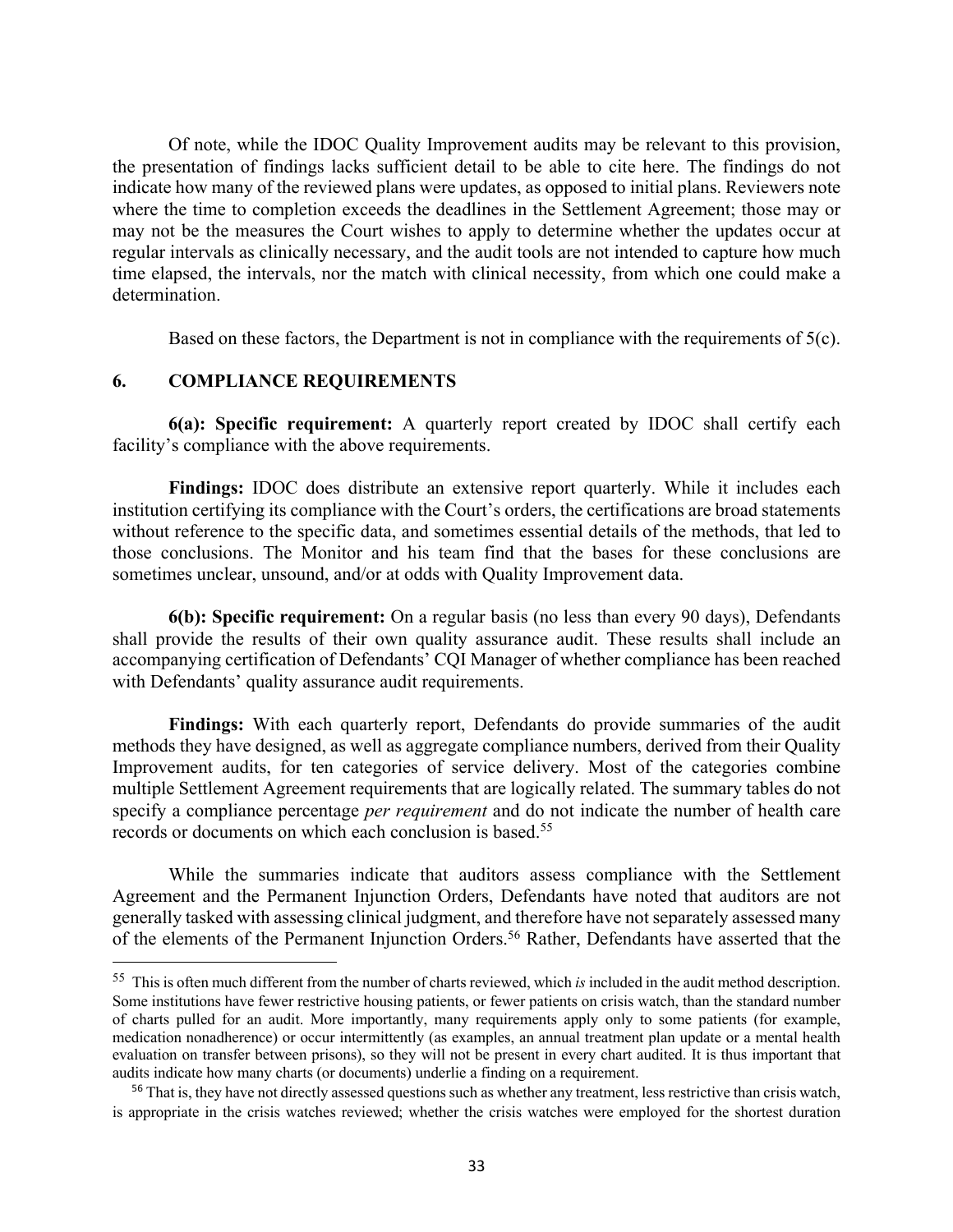Of note, while the IDOC Quality Improvement audits may be relevant to this provision, the presentation of findings lacks sufficient detail to be able to cite here. The findings do not indicate how many of the reviewed plans were updates, as opposed to initial plans. Reviewers note where the time to completion exceeds the deadlines in the Settlement Agreement; those may or may not be the measures the Court wishes to apply to determine whether the updates occur at regular intervals as clinically necessary, and the audit tools are not intended to capture how much time elapsed, the intervals, nor the match with clinical necessity, from which one could make a determination.

Based on these factors, the Department is not in compliance with the requirements of 5(c).

#### **6. COMPLIANCE REQUIREMENTS**

**6(a): Specific requirement:** A quarterly report created by IDOC shall certify each facility's compliance with the above requirements.

**Findings:** IDOC does distribute an extensive report quarterly. While it includes each institution certifying its compliance with the Court's orders, the certifications are broad statements without reference to the specific data, and sometimes essential details of the methods, that led to those conclusions. The Monitor and his team find that the bases for these conclusions are sometimes unclear, unsound, and/or at odds with Quality Improvement data.

**6(b): Specific requirement:** On a regular basis (no less than every 90 days), Defendants shall provide the results of their own quality assurance audit. These results shall include an accompanying certification of Defendants' CQI Manager of whether compliance has been reached with Defendants' quality assurance audit requirements.

**Findings:** With each quarterly report, Defendants do provide summaries of the audit methods they have designed, as well as aggregate compliance numbers, derived from their Quality Improvement audits, for ten categories of service delivery. Most of the categories combine multiple Settlement Agreement requirements that are logically related. The summary tables do not specify a compliance percentage *per requirement* and do not indicate the number of health care records or documents on which each conclusion is based.55

While the summaries indicate that auditors assess compliance with the Settlement Agreement and the Permanent Injunction Orders, Defendants have noted that auditors are not generally tasked with assessing clinical judgment, and therefore have not separately assessed many of the elements of the Permanent Injunction Orders.<sup>56</sup> Rather, Defendants have asserted that the

<sup>55</sup> This is often much different from the number of charts reviewed, which *is* included in the audit method description. Some institutions have fewer restrictive housing patients, or fewer patients on crisis watch, than the standard number of charts pulled for an audit. More importantly, many requirements apply only to some patients (for example, medication nonadherence) or occur intermittently (as examples, an annual treatment plan update or a mental health evaluation on transfer between prisons), so they will not be present in every chart audited. It is thus important that audits indicate how many charts (or documents) underlie a finding on a requirement.

<sup>&</sup>lt;sup>56</sup> That is, they have not directly assessed questions such as whether any treatment, less restrictive than crisis watch, is appropriate in the crisis watches reviewed; whether the crisis watches were employed for the shortest duration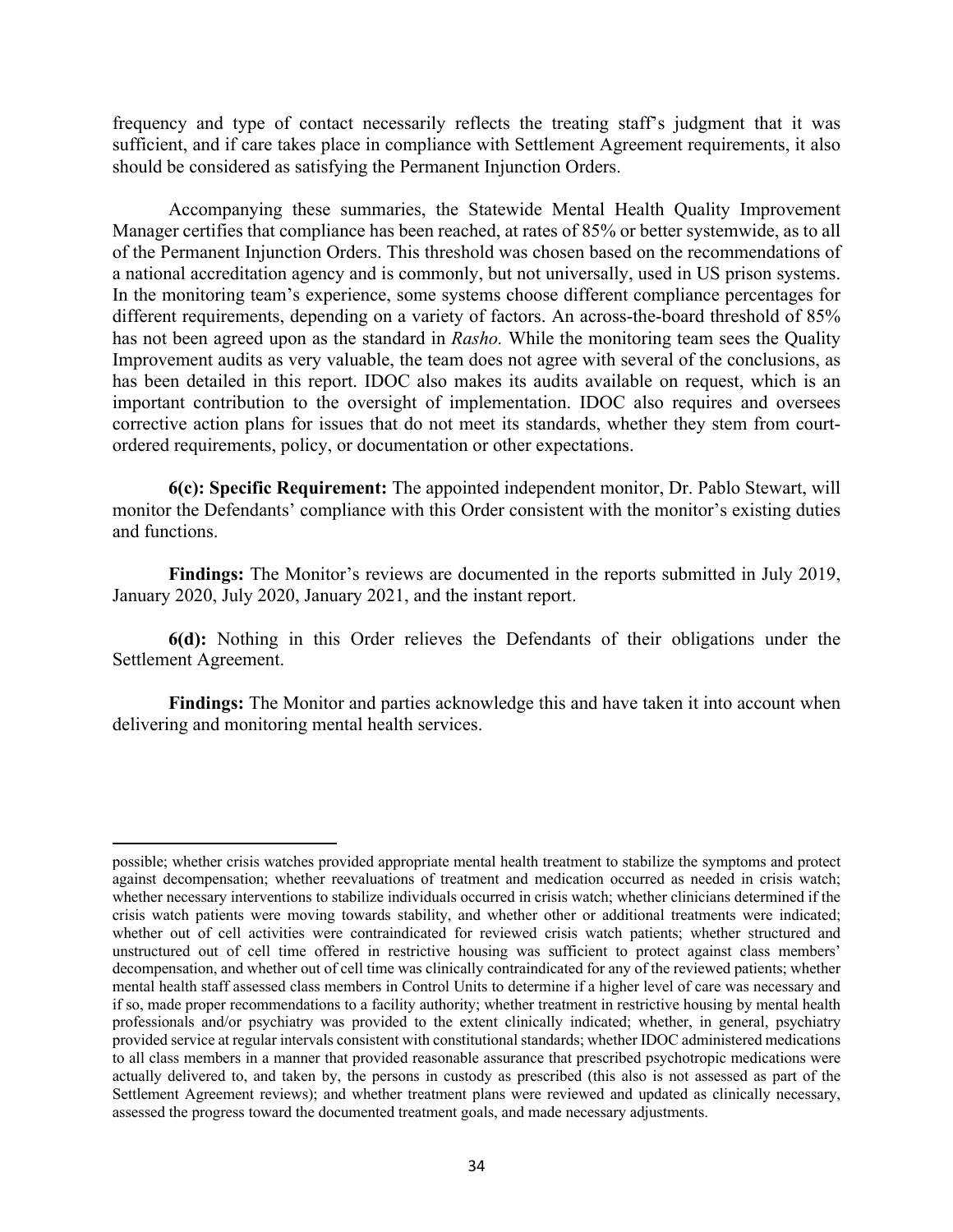frequency and type of contact necessarily reflects the treating staff's judgment that it was sufficient, and if care takes place in compliance with Settlement Agreement requirements, it also should be considered as satisfying the Permanent Injunction Orders.

Accompanying these summaries, the Statewide Mental Health Quality Improvement Manager certifies that compliance has been reached, at rates of 85% or better systemwide, as to all of the Permanent Injunction Orders. This threshold was chosen based on the recommendations of a national accreditation agency and is commonly, but not universally, used in US prison systems. In the monitoring team's experience, some systems choose different compliance percentages for different requirements, depending on a variety of factors. An across-the-board threshold of 85% has not been agreed upon as the standard in *Rasho.* While the monitoring team sees the Quality Improvement audits as very valuable, the team does not agree with several of the conclusions, as has been detailed in this report. IDOC also makes its audits available on request, which is an important contribution to the oversight of implementation. IDOC also requires and oversees corrective action plans for issues that do not meet its standards, whether they stem from courtordered requirements, policy, or documentation or other expectations.

**6(c): Specific Requirement:** The appointed independent monitor, Dr. Pablo Stewart, will monitor the Defendants' compliance with this Order consistent with the monitor's existing duties and functions.

**Findings:** The Monitor's reviews are documented in the reports submitted in July 2019, January 2020, July 2020, January 2021, and the instant report.

**6(d):** Nothing in this Order relieves the Defendants of their obligations under the Settlement Agreement.

**Findings:** The Monitor and parties acknowledge this and have taken it into account when delivering and monitoring mental health services.

possible; whether crisis watches provided appropriate mental health treatment to stabilize the symptoms and protect against decompensation; whether reevaluations of treatment and medication occurred as needed in crisis watch; whether necessary interventions to stabilize individuals occurred in crisis watch; whether clinicians determined if the crisis watch patients were moving towards stability, and whether other or additional treatments were indicated; whether out of cell activities were contraindicated for reviewed crisis watch patients; whether structured and unstructured out of cell time offered in restrictive housing was sufficient to protect against class members' decompensation, and whether out of cell time was clinically contraindicated for any of the reviewed patients; whether mental health staff assessed class members in Control Units to determine if a higher level of care was necessary and if so, made proper recommendations to a facility authority; whether treatment in restrictive housing by mental health professionals and/or psychiatry was provided to the extent clinically indicated; whether, in general, psychiatry provided service at regular intervals consistent with constitutional standards; whether IDOC administered medications to all class members in a manner that provided reasonable assurance that prescribed psychotropic medications were actually delivered to, and taken by, the persons in custody as prescribed (this also is not assessed as part of the Settlement Agreement reviews); and whether treatment plans were reviewed and updated as clinically necessary, assessed the progress toward the documented treatment goals, and made necessary adjustments.